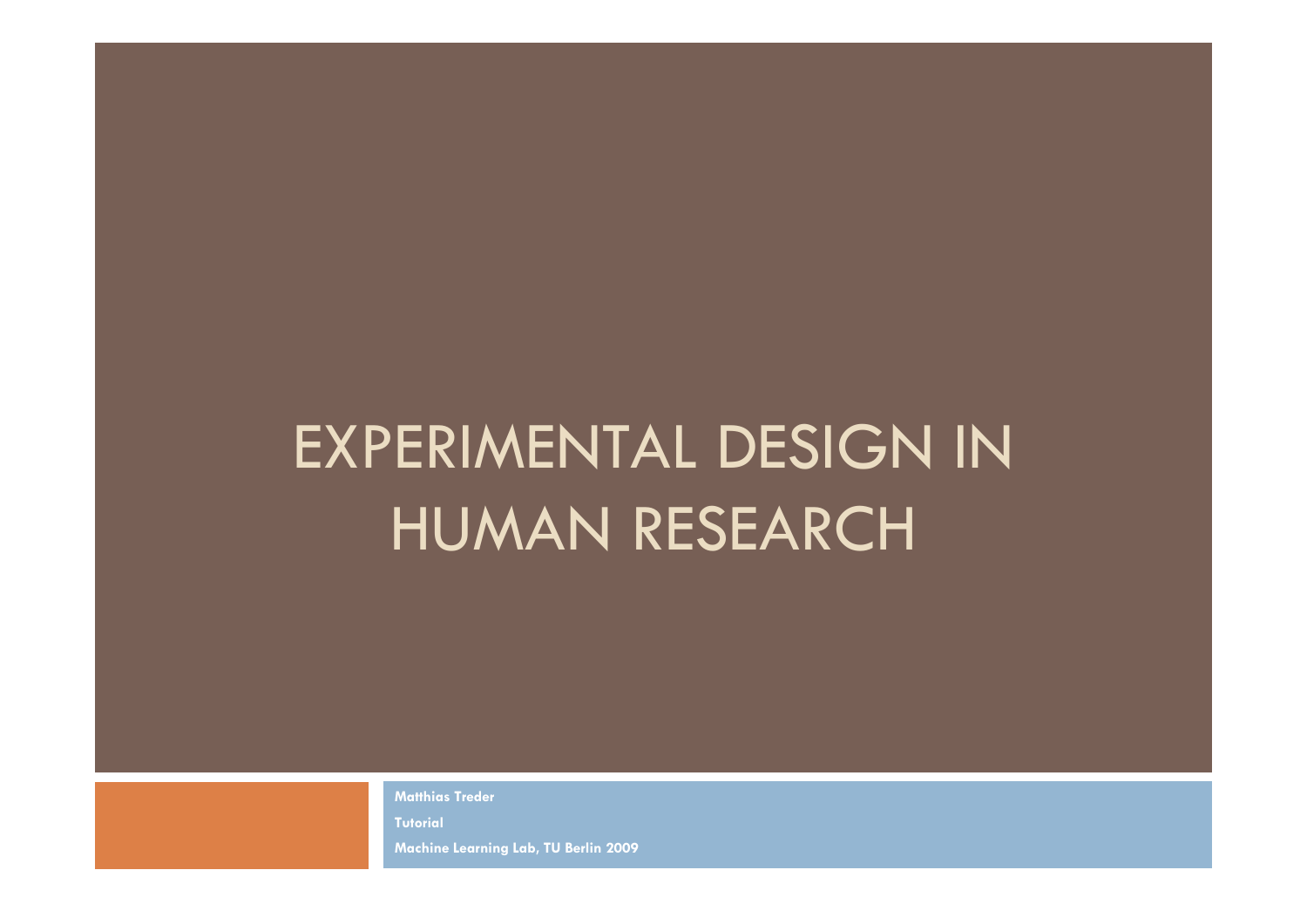# EXPERIMENTAL DESIGN IN HUMAN RESEARCH

**Matthias Treder**

**Tutorial** 

**Machine Learning Lab, TU Berlin 2009**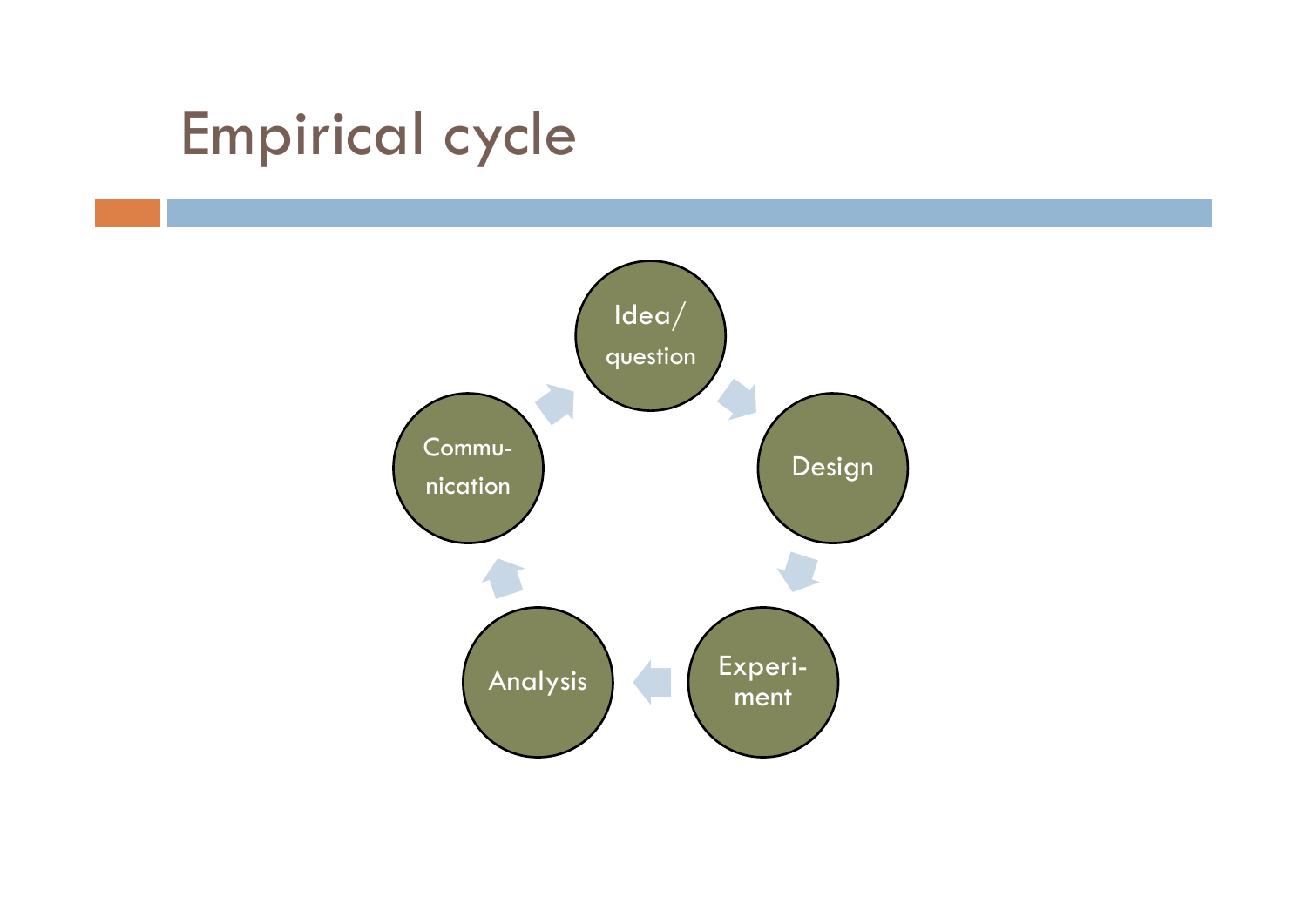## Empirical cycle

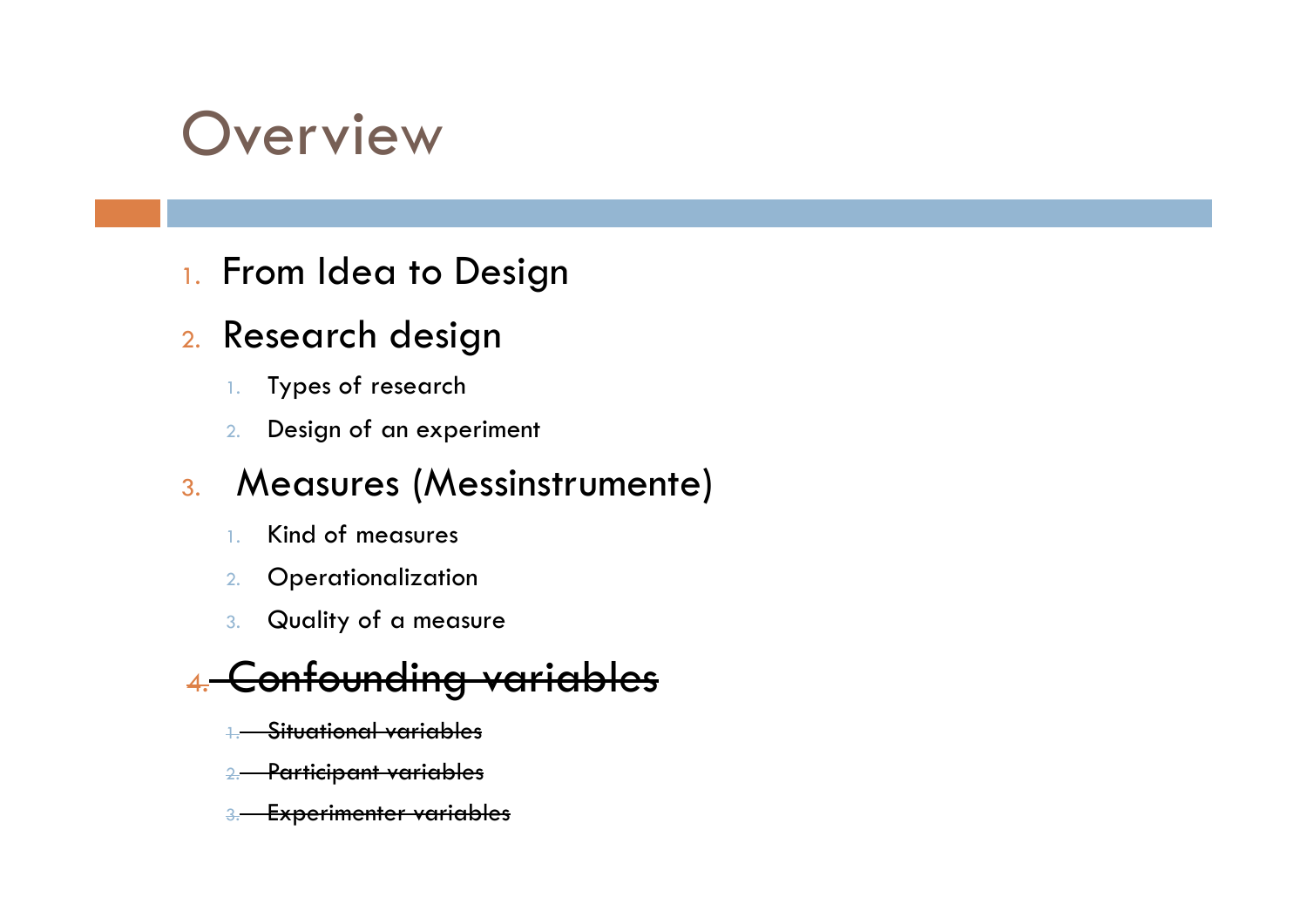## **Overview**

1. From Idea to Design

### <sub>2.</sub> Research design

- 1.Types of research
- 2.Design of an experiment

### 3. Measures (Messinstrumente)

- 1.Kind of measures
- 2.**Operationalization**
- 3. Quality of a measure

### 4.Confounding variab

- 1.Situational variables
- 2. Participant variables
- Experimenter variables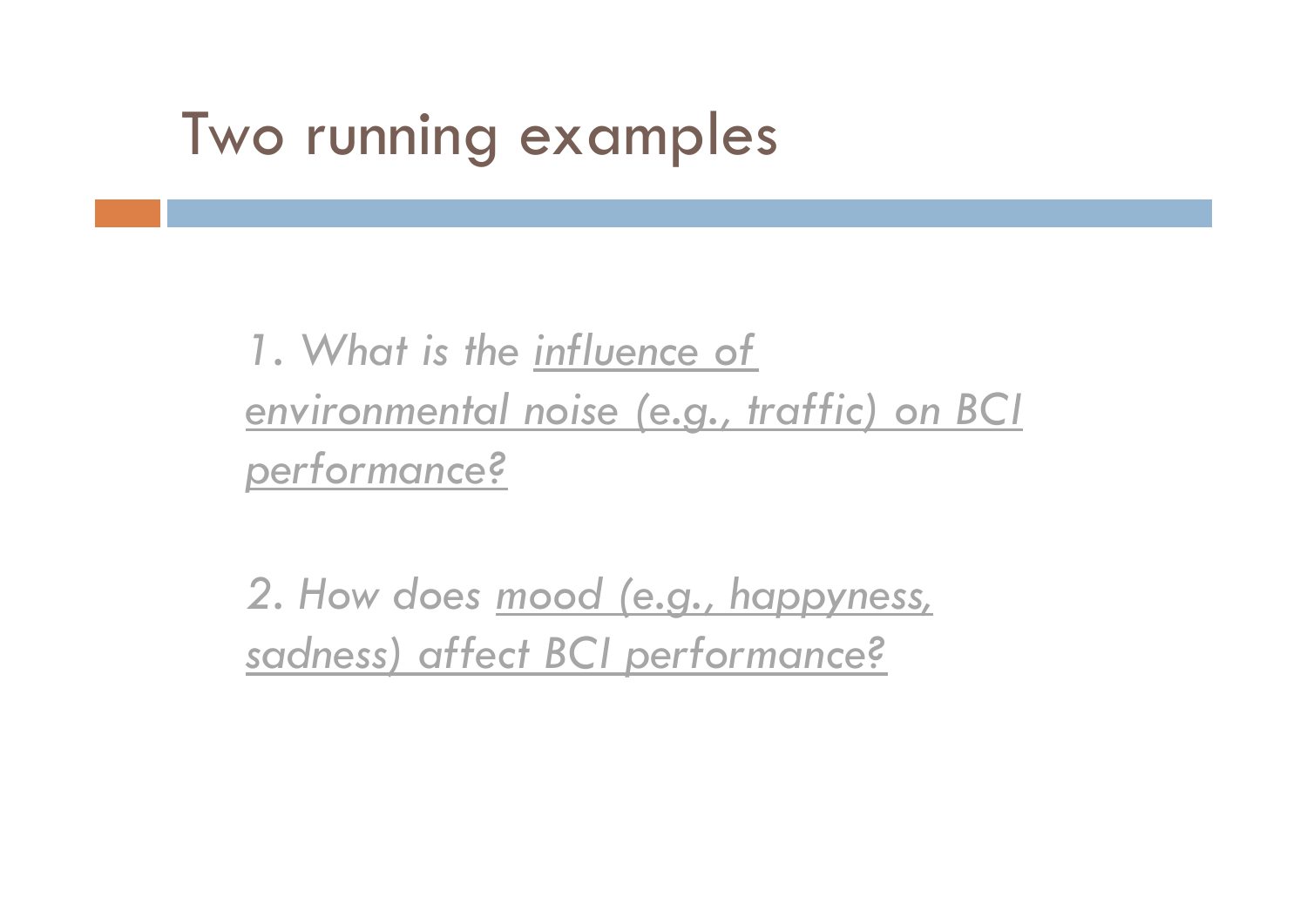## Two running examples

*1. What is the influence of environmental noise (e.g., traffic) on BCI performance?*

*2. How does mood (e.g., happyness, sadness) affect BCI performance?*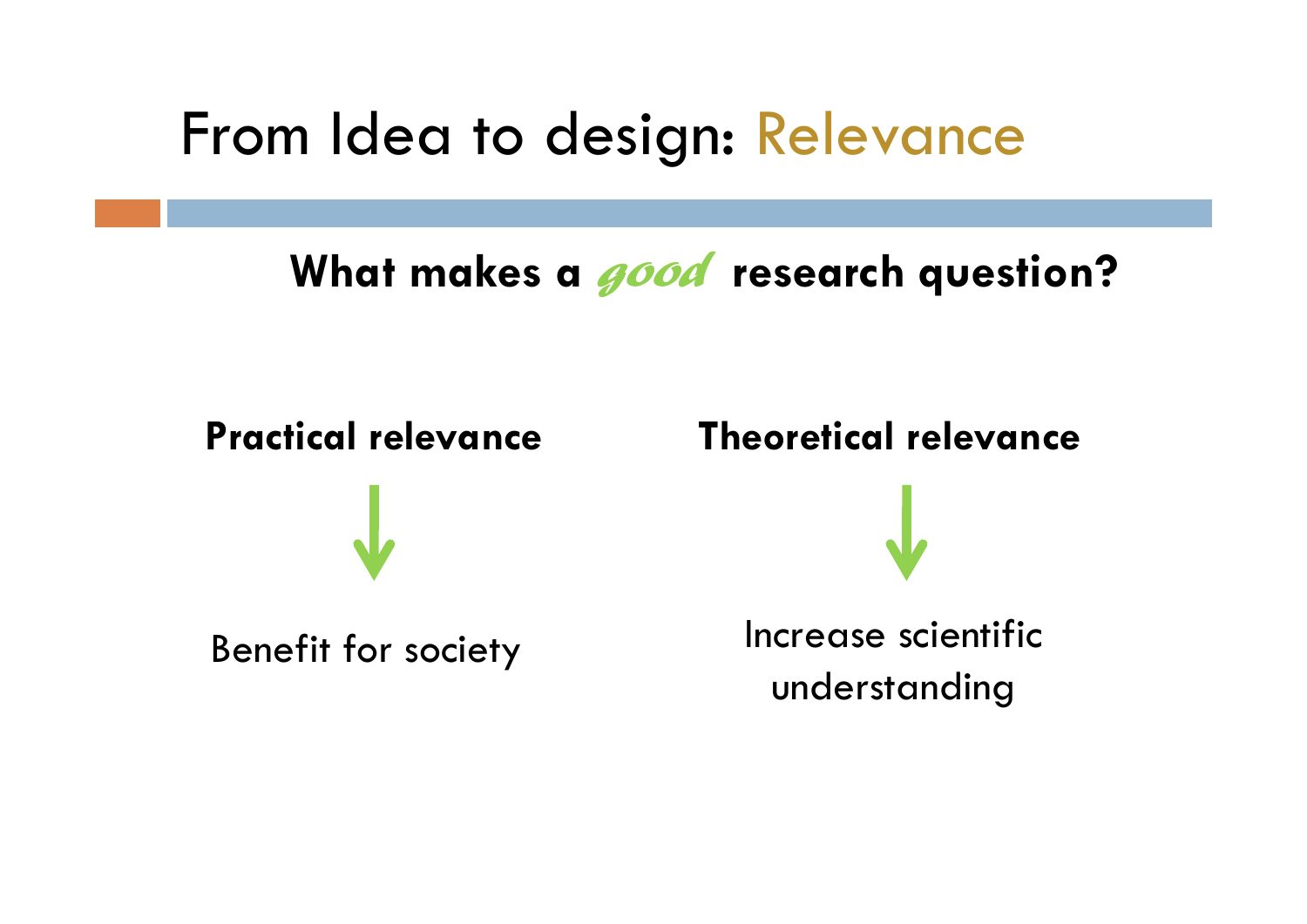### From Idea to design: Relevance

### **What makes a** *good* **research question?**

**Practical relevance**

 **Theoretical relevance** Benefit for society Increase scientific understanding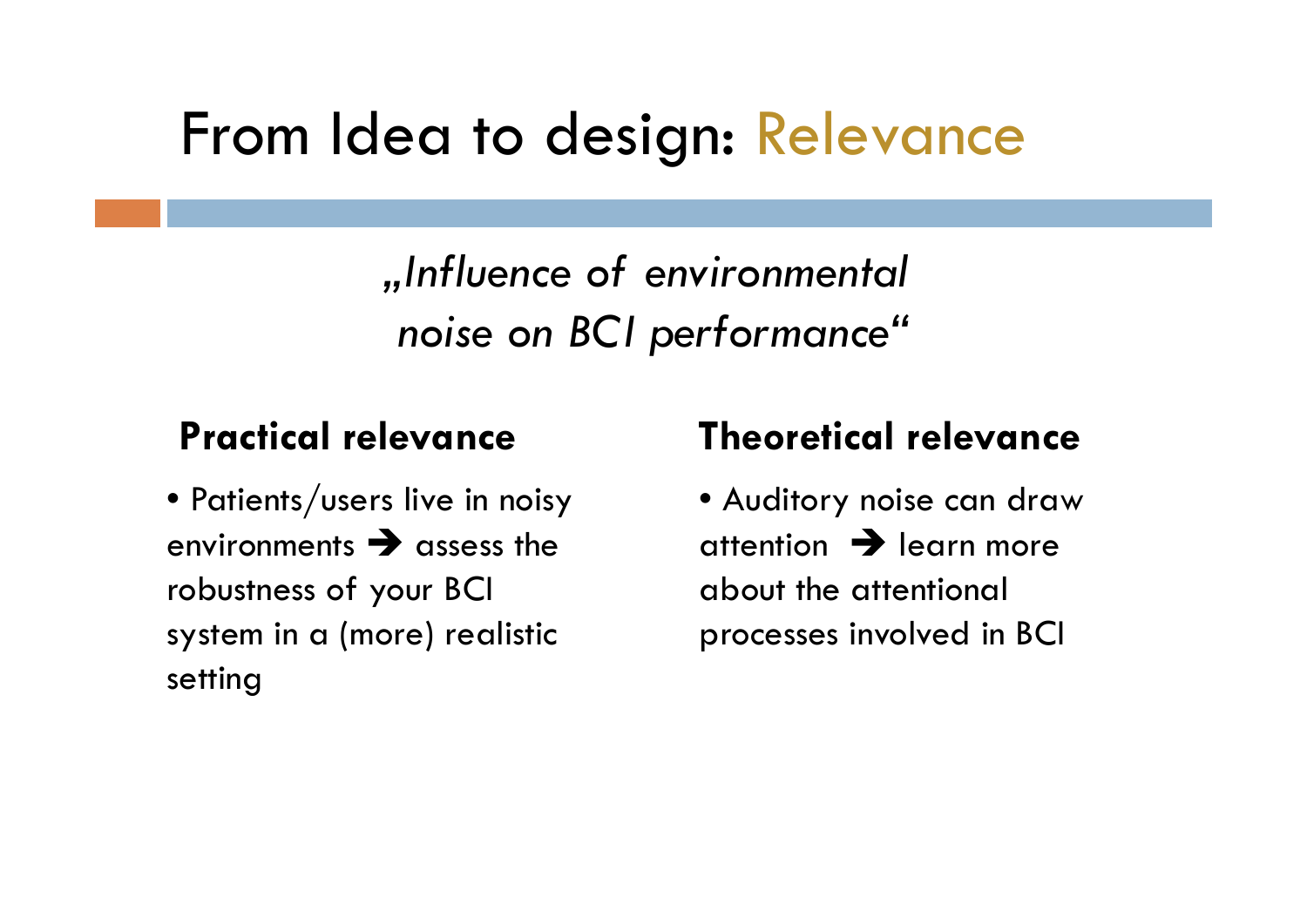## From Idea to design: Relevance

*"Influence of environmental noise on BCI performance"*

### **Practical relevance**

 $\bullet$  Patients/users live in noisy  $\bullet$ environments  $\rightarrow$  assess the robustness of your BCI system in a (more) realistic setting

### **Theoretical relevance**

• Auditory noise can draw attention  $\rightarrow$  learn more about the attentional processes involved in BCI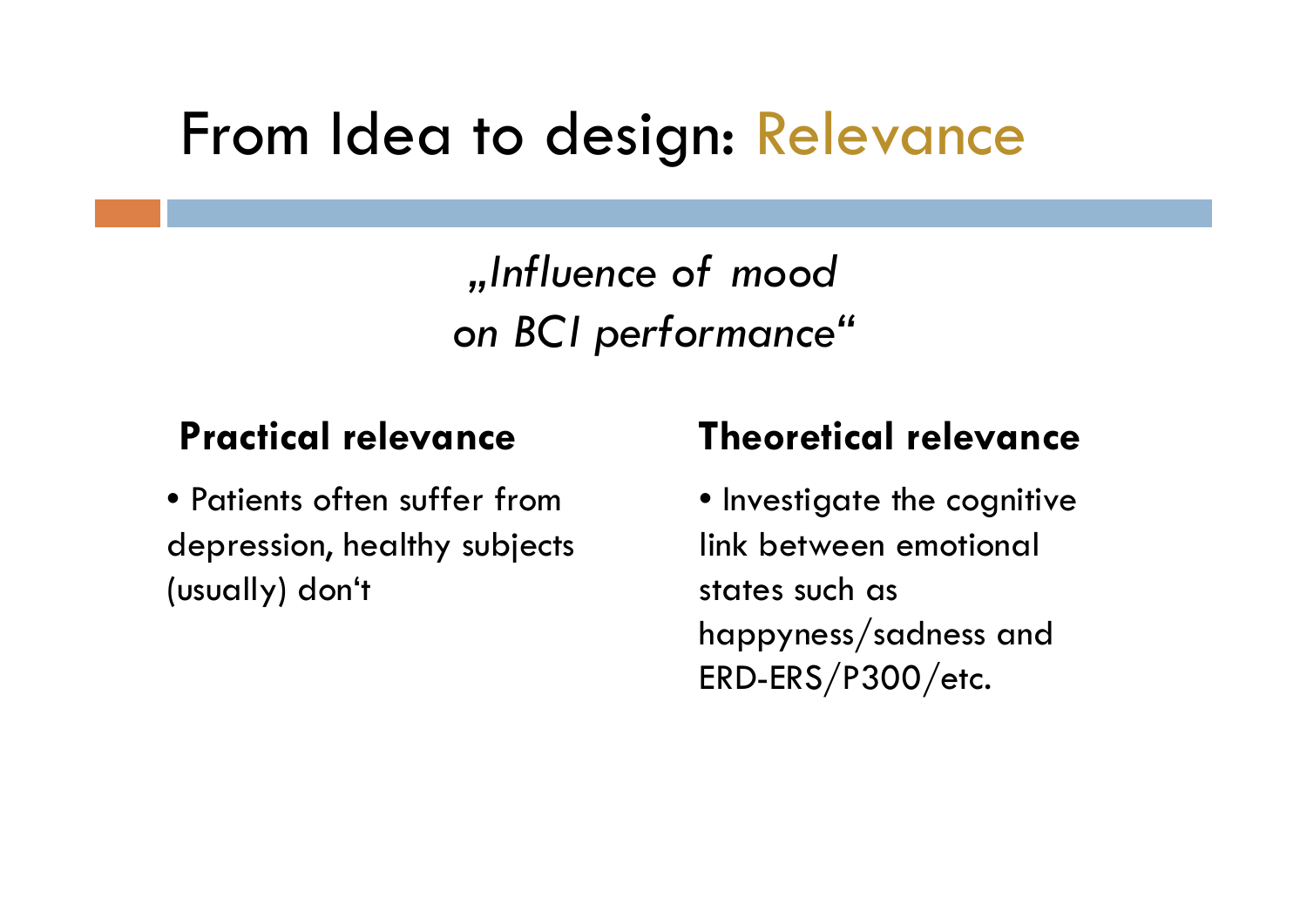## From Idea to design: Relevance

*"Influence of mood on BCI performance"*

### **Practical relevance**

• Patients often suffer from depression, healthy subjects (usually) don't

### **Theoretical relevance**

• Investigate the cognitive link between emotional states such as happyness/sadness and ERD-ERS/P300/etc.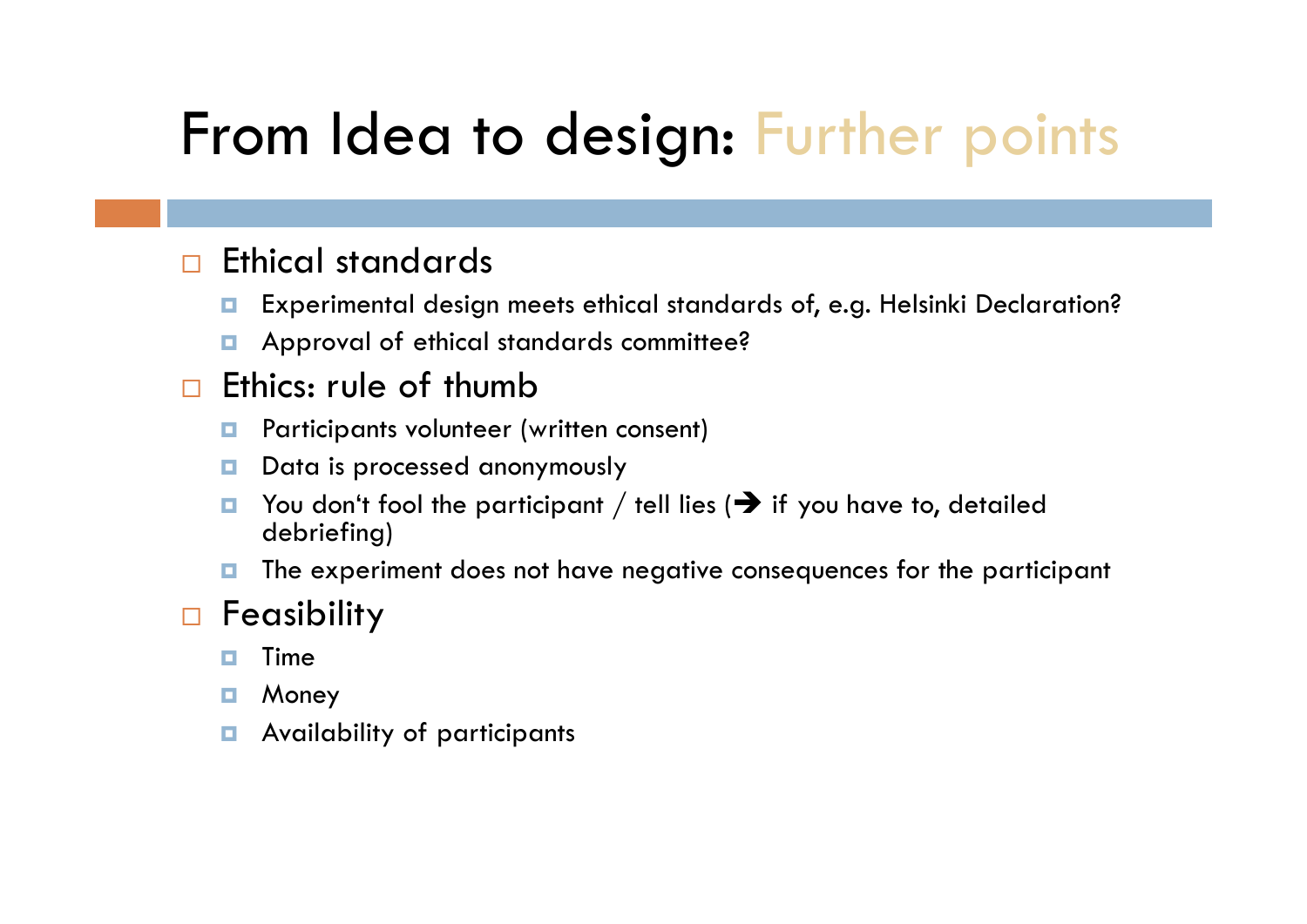# From Idea to design: Further points

#### $\Box$ Ethical standards

- о Experimental design meets ethical standards of, e.g. Helsinki Declaration?
- $\Box$ Approval of ethical standards committee?

#### $\Box$ Ethics: rule of thumb

- о Participants volunteer (written consent)
- о Data is processed anonymously
- о  $\blacksquare$  You don't fool the participant / tell lies ( $\blacktriangleright$  if you have to, detailed debriefing)
- о The experiment does not have negative consequences for the participant

### $\Box$ Feasibility

- п Time
- о Money
- $\Box$ Availability of participants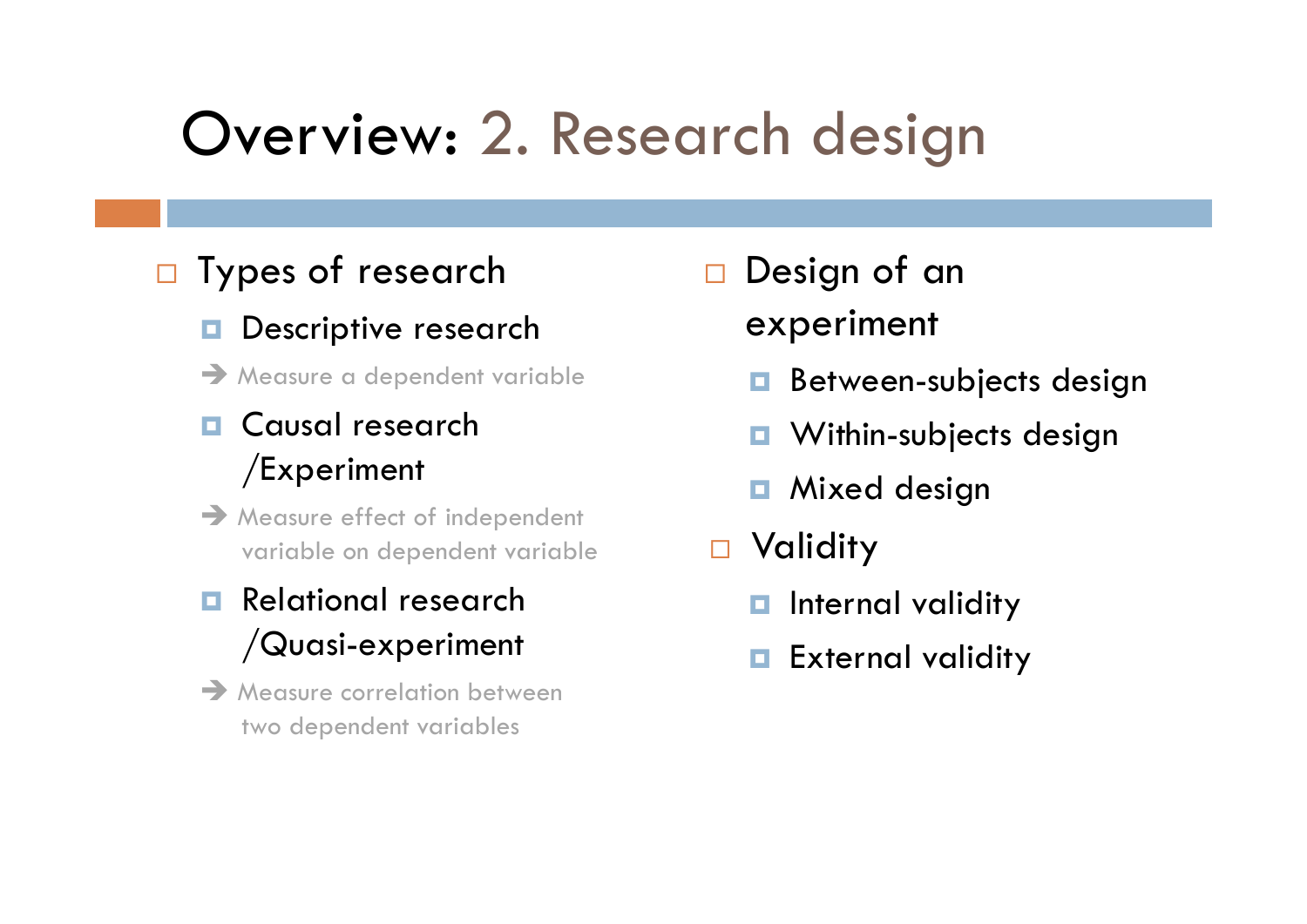# Overview: 2. Research design

### □ Types of research

- о Descriptive research
- $\rightarrow$  Measure a dependent variable

### O Causal research /Experiment

 $\rightarrow$  Measure effect of independent variable on dependent variable

### **Relational research** /Quasi-experiment

 $\rightarrow$  Measure correlation between two dependent variables

- □ Design of an experiment
	- **Between-subjects design**
	- **D** Within-subjects design
	- **n** Mixed design
- Validity
	- **n** Internal validity
	- **External validity**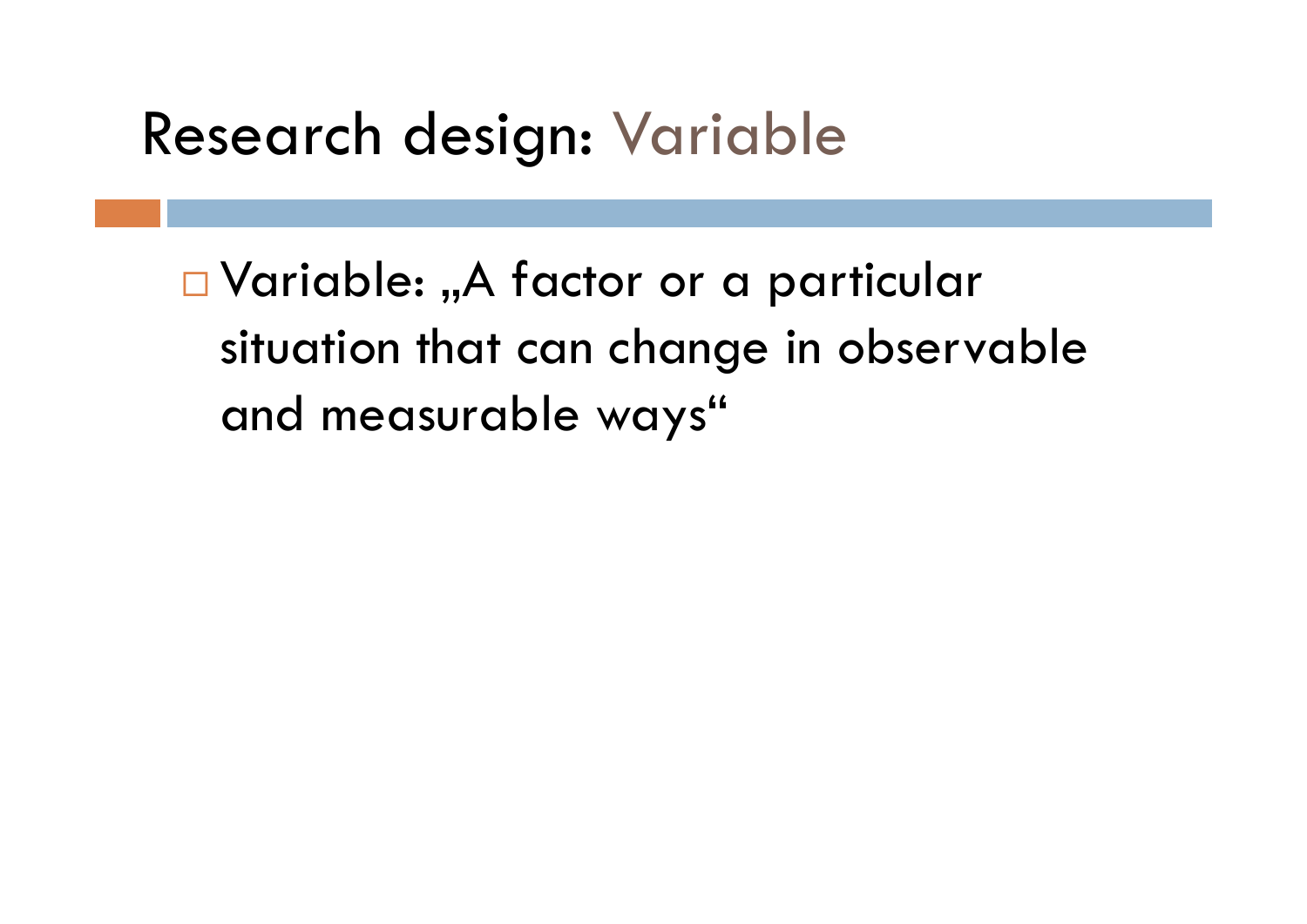## Research design: Variable

 $\square$  Variable: "A factor or a particular situation that can change in observable and measurable ways"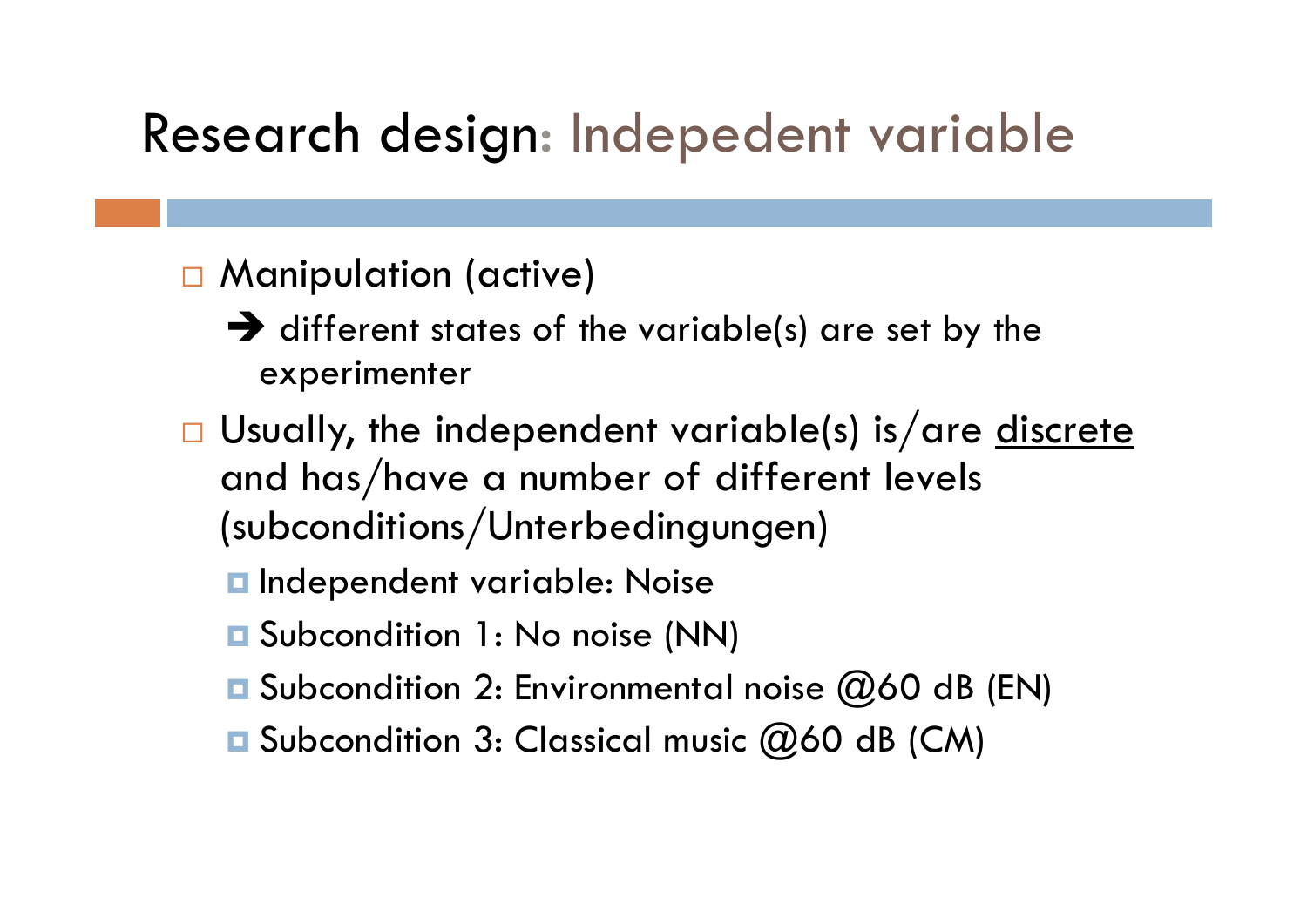### Research design: Indepedent variable

### Manipulation (active)

- $\rightarrow$  different states of the variable(s) are set by the experimenter
- □ Usually, the independent variable(s) is/are <u>discrete</u> and has/have a number of different levels (subconditions/Unterbedingungen)
	- $\blacksquare$  Independent variable: Noise
	- **□** Subcondition 1: No noise (NN)
	- **□** Subcondition 2: Environmental noise @60 dB (EN)
	- Subcondition 3: Classical music @60 dB (CM)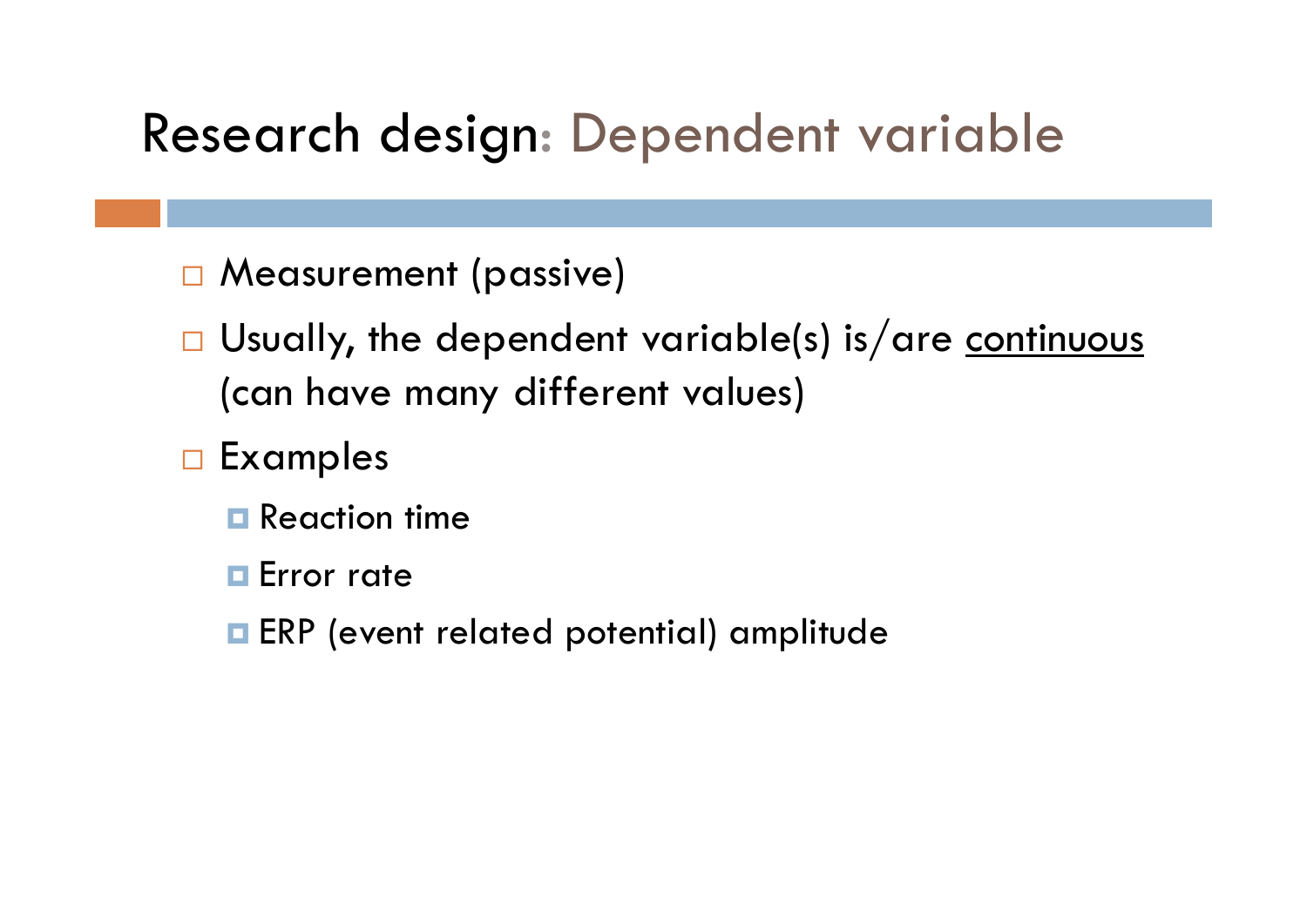### Research design: Dependent variable

- Measurement (passive)
- □ Usually, the dependent variable(s) is/are <u>continuous</u> (can have many different values)
- **D** Examples
	- $\blacksquare$  Reaction time
	- **E**rror rate
	- **ERP** (event related potential) amplitude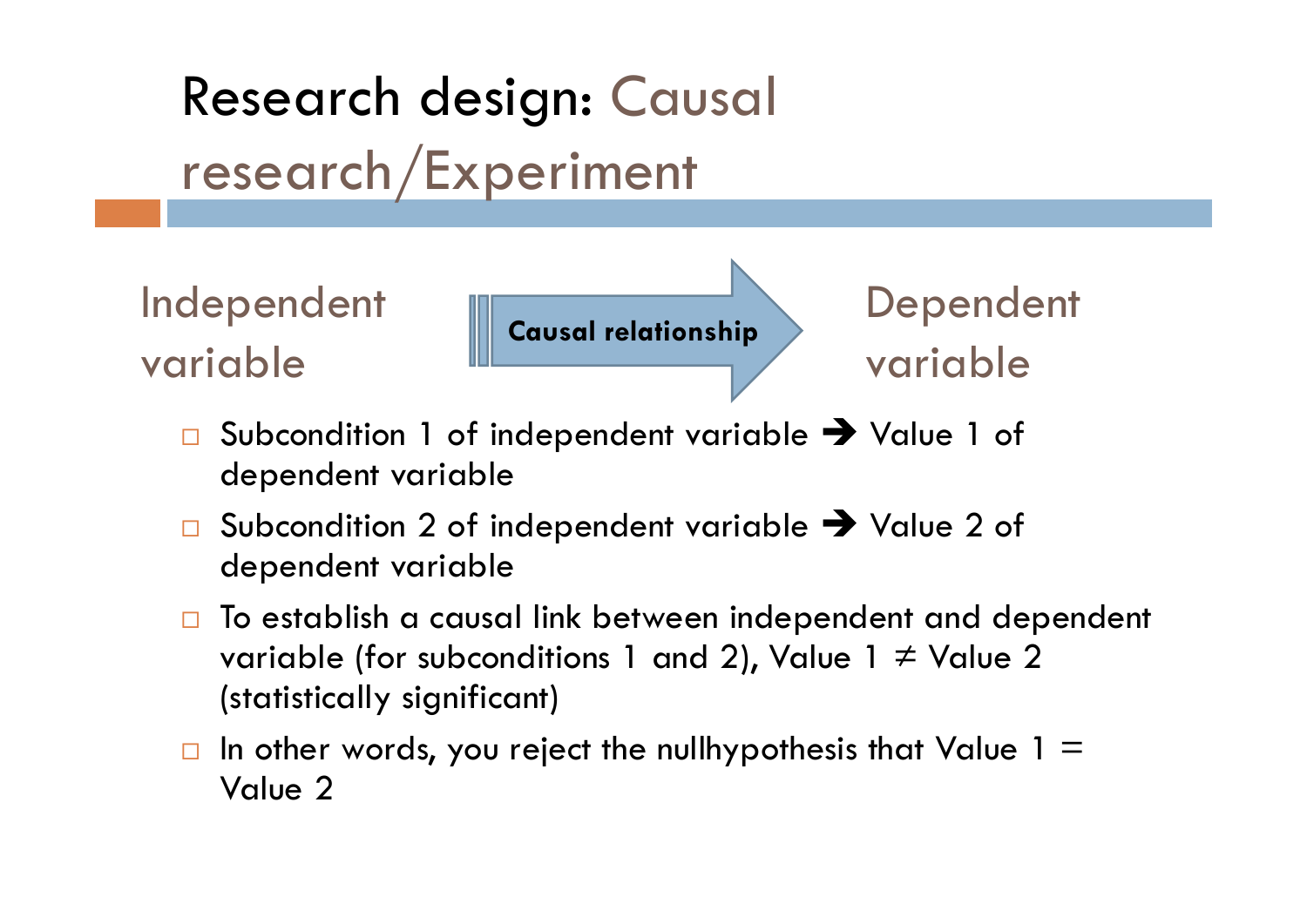# Research design: Causal research/Experiment

Independent variable

**Causal relationship**

Dependent variable

- $\Box$ □ Subcondition 1 of independent variable → Value 1 of dependent variable
- $\Box$ □ Subcondition 2 of independent variable → Value 2 of dependent variable
- $\Box$  To establish a causal link between independent and dependent variable (for subconditions 1 and 2), Value 1 ≠ Value 2 (statistically significant)
- $\Box$ In other words, you reject the nullhypothesis that Value  $1 =$ Value 2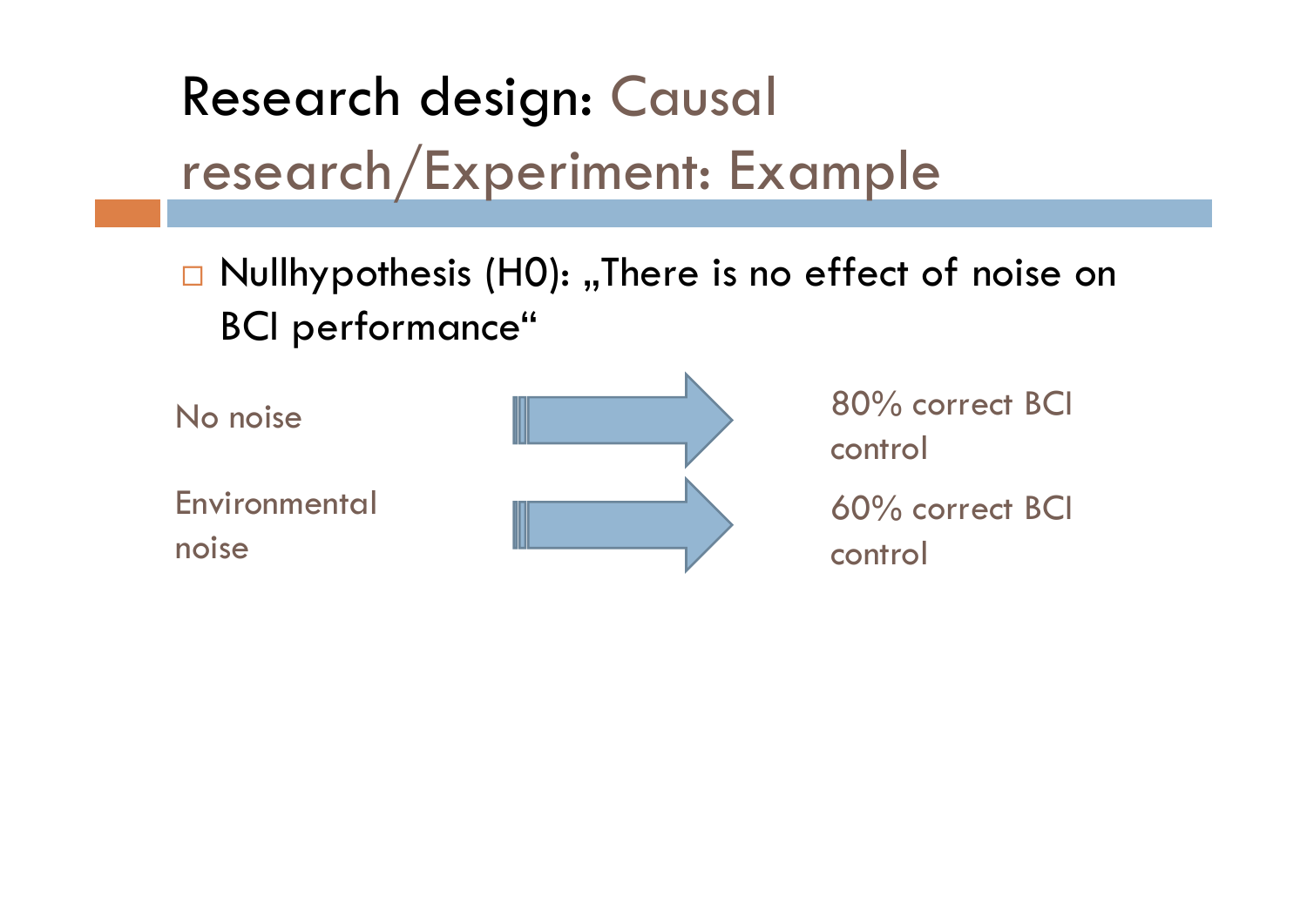# Research design: Causal research/Experiment: Example

 $\Box$  Nullhypothesis (H0): "There is no effect of noise on BCI performance"

**Environmental** noise



control 60% correct BCI control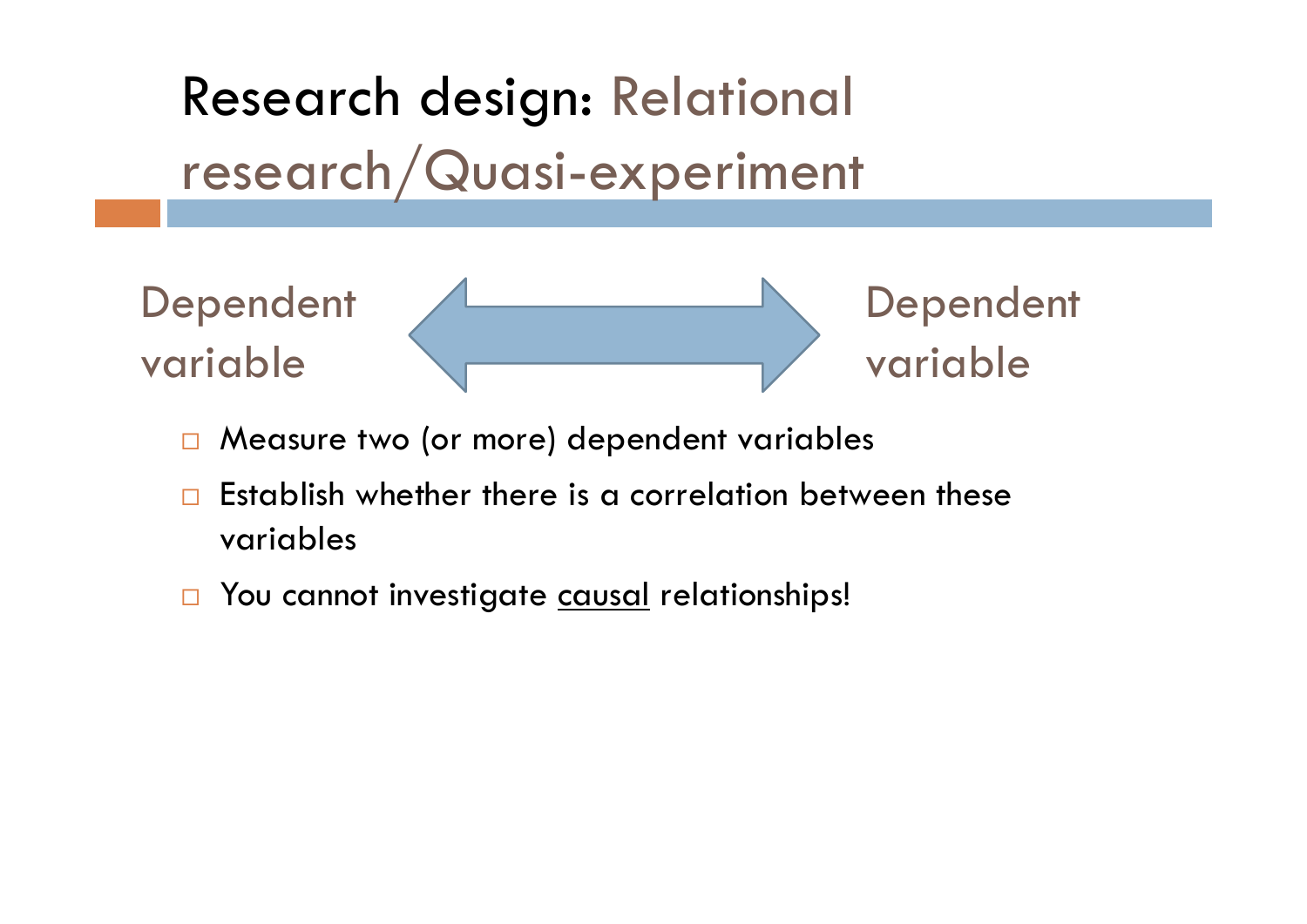Research design: Relational research/Quasi-experiment



- $\Box$ Measure two (or more) dependent variables
- $\Box$  Establish whether there is a correlation between these variables
- $\Box$ You cannot investigate causal relationships!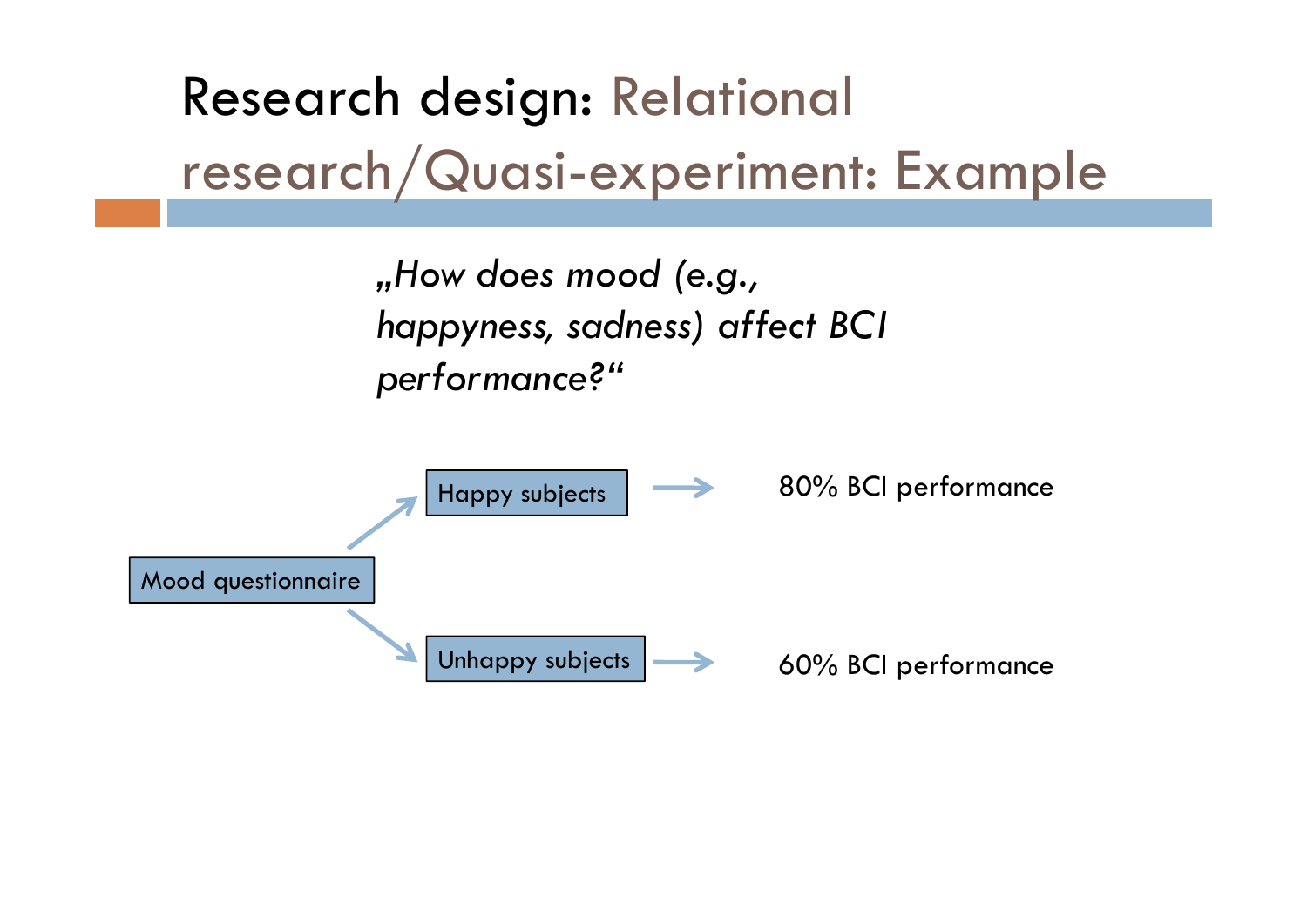Research design: Relational research/Quasi-experiment: Example

> *"How does mood (e.g., happyness, sadness) affect BCI performance?"*

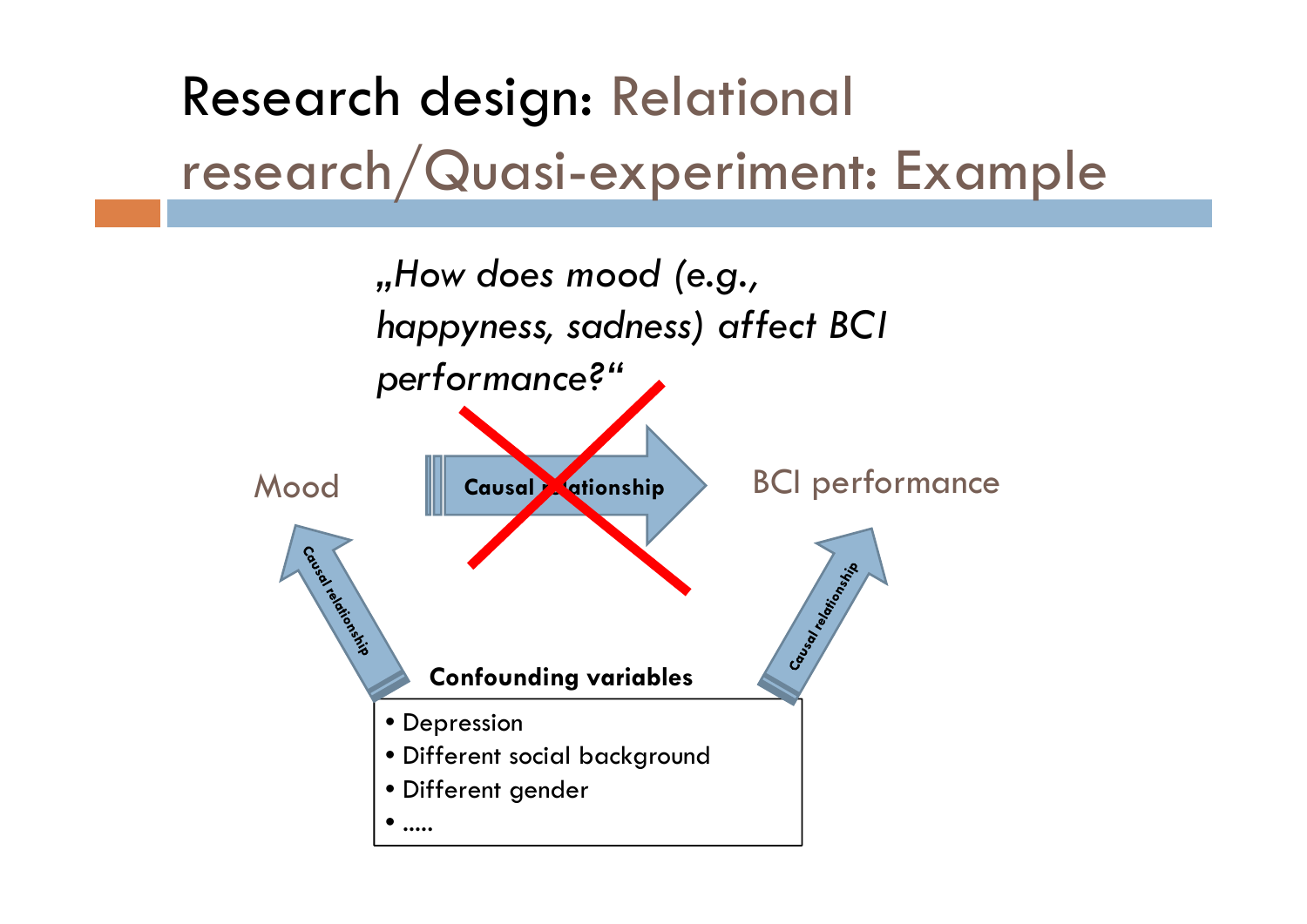Research design: Relational research/Quasi-experiment: Example

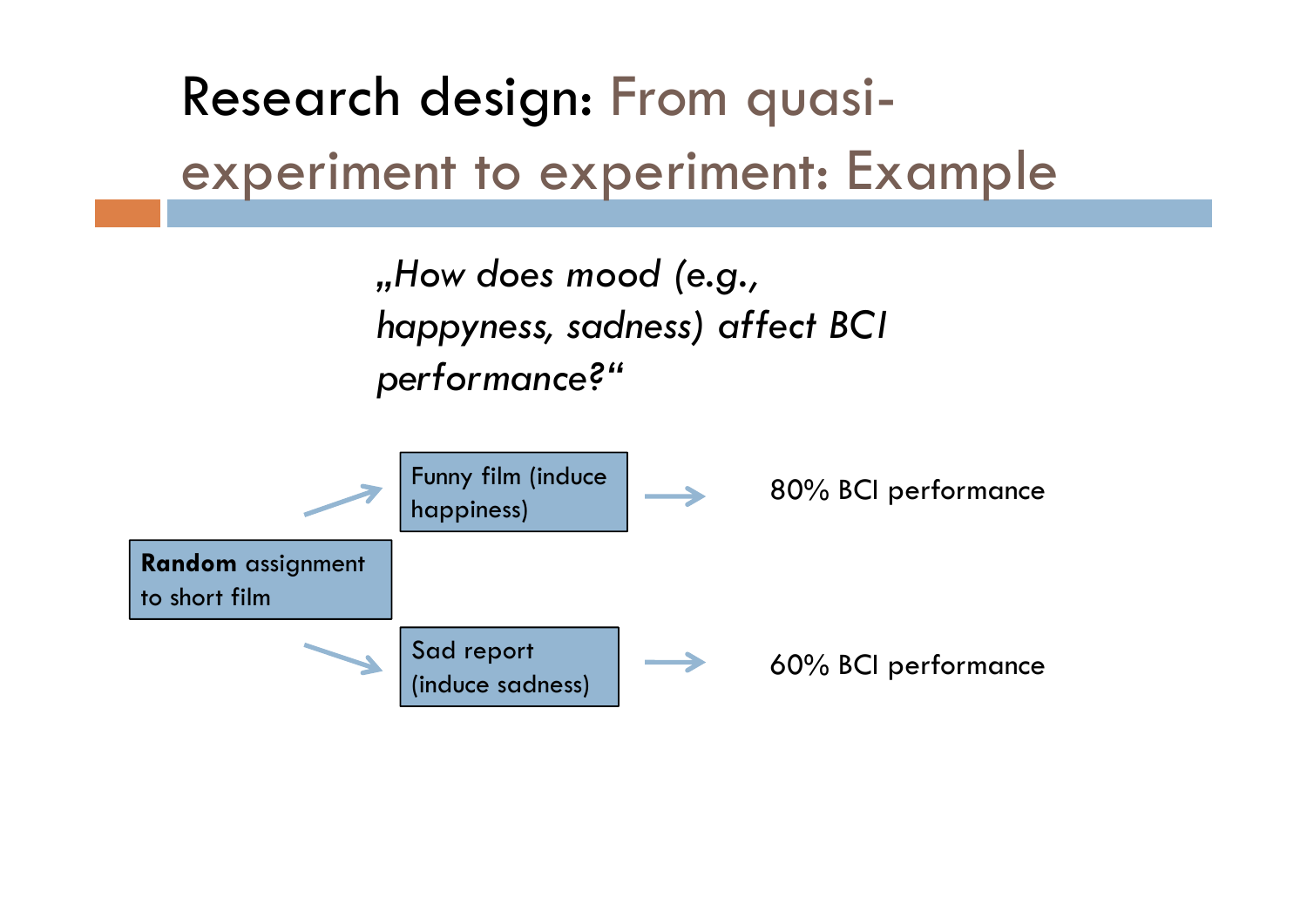Research design: From quasiexperiment to experiment: Example

> *"How does mood (e.g., happyness, sadness) affect BCI performance?"*

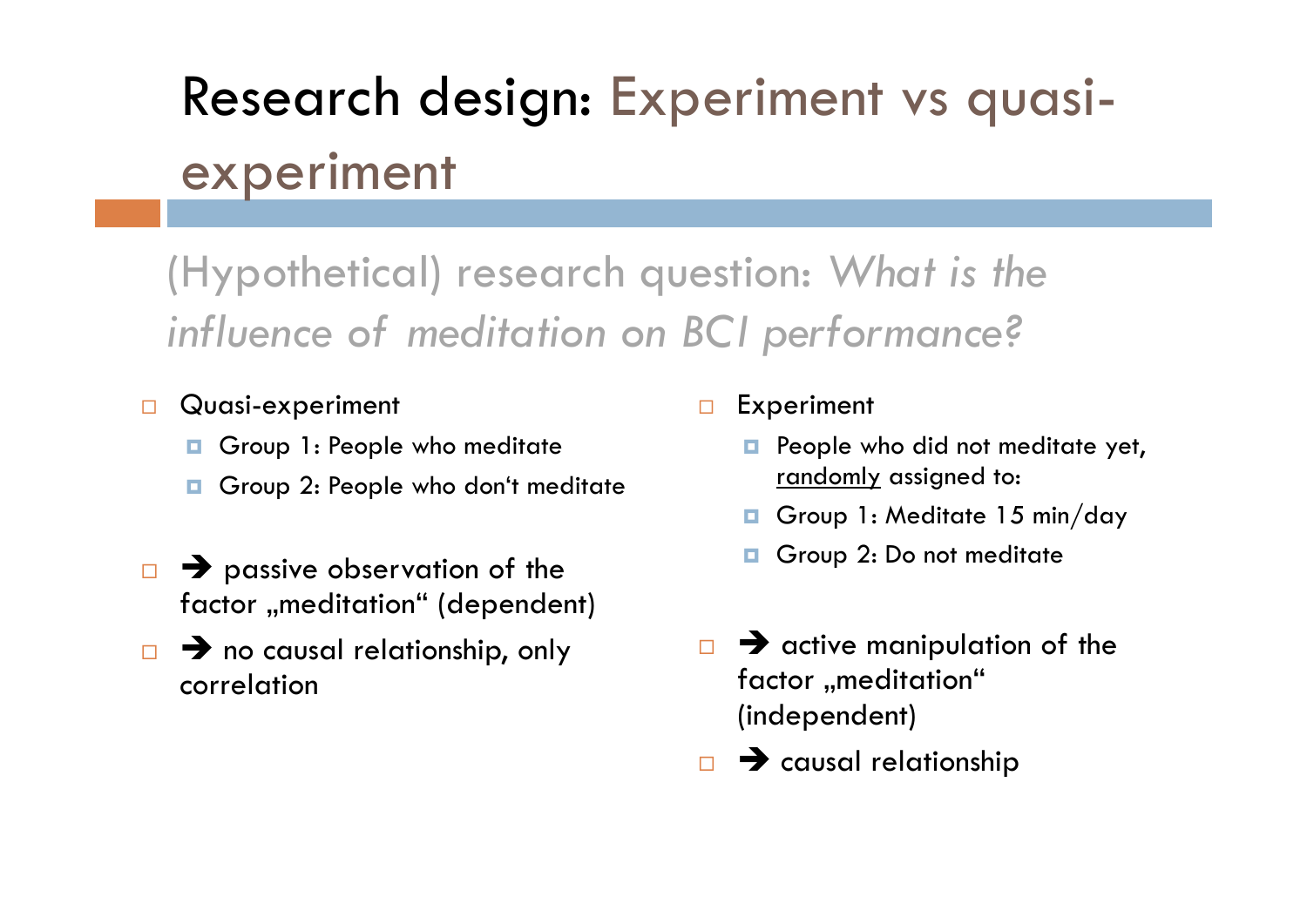## Research design: Experiment vs quasiexperiment

### (Hypothetical) research question: *What is the influence of meditation on BCI performance?*

- $\Box$  Quasi-experiment
	- o. Group 1: People who meditate
	- $\Box$ Group 2: People who don't meditate
- $\Box$  $\rightarrow$  passive observation of the factor "meditation" (dependent)
- $\Box$   $\rightarrow$  no causal relationship, only correlation

 $\Box$ Experiment

- o. People who did not meditate yet, randomly assigned to:
- $\Box$ Group 1: Meditate 15 min/day
- $\Box$ Group 2: Do not meditate
- $\Box$  $\rightarrow$  active manipulation of the factor "meditation" (independent)
- □  $\rightarrow$  causal relationship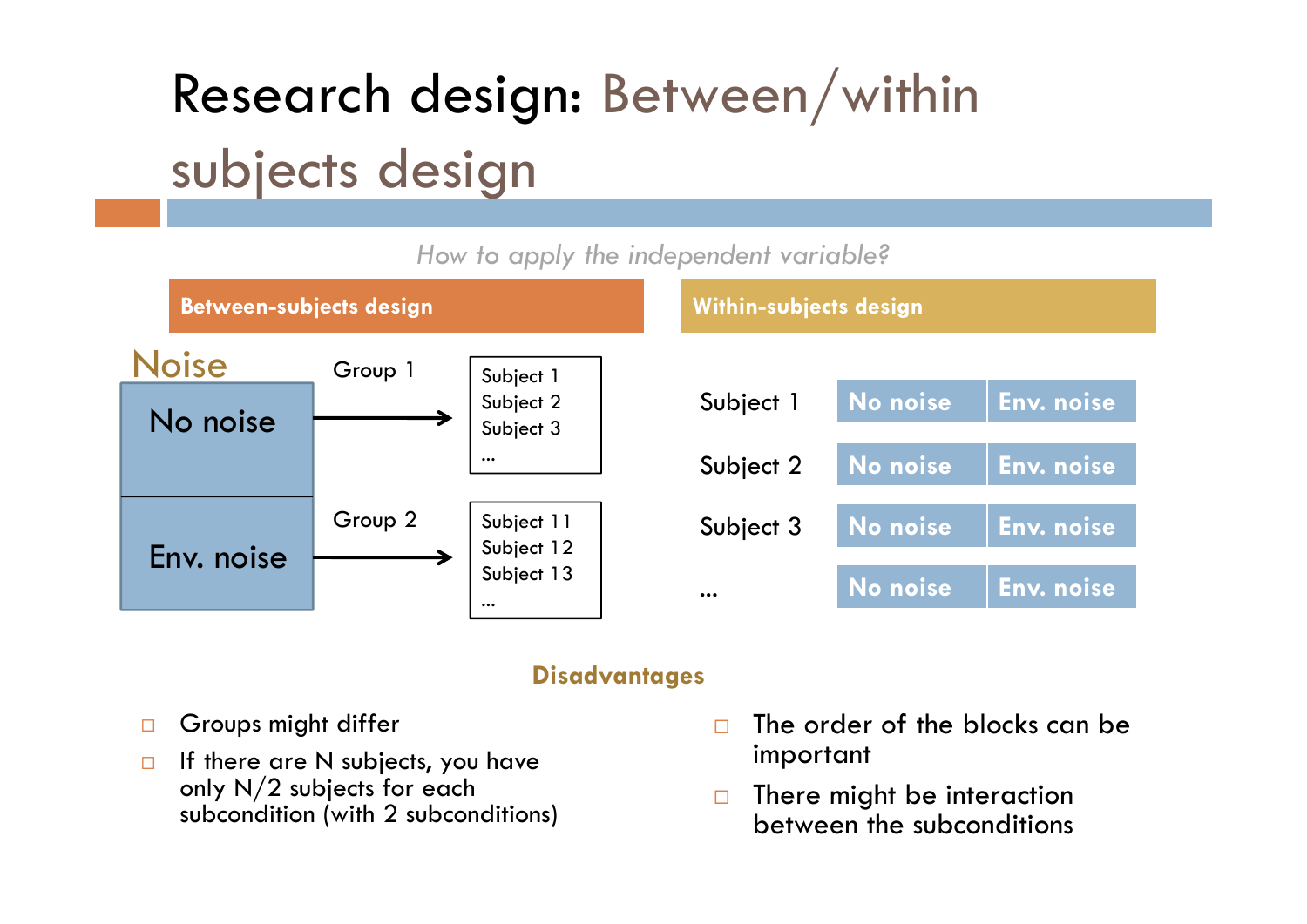# Research design: Between/within subjects design

#### **No noise Env. noise Between-subjects design Within-subjects design** *How to apply the independent variable?* Subject 1 Subject 2 **No noise Env. noise** Subject 3 **No noise Env. noise** ... **No noise Env. noise** Subject 1 Subject 2 Subject 3 ...Subject 11 Subject 12 Subject 13 ... Group 1 Group 2 No noise Env. noiseNoise

### **Disadvantages**

- $\Box$ Groups might differ
- $\Box$  If there are N subjects, you have only N/2 subjects for each subcondition (with 2 subconditions)
- $\Box$  The order of the blocks can be important
- $\Box$  There might be interaction between the subconditions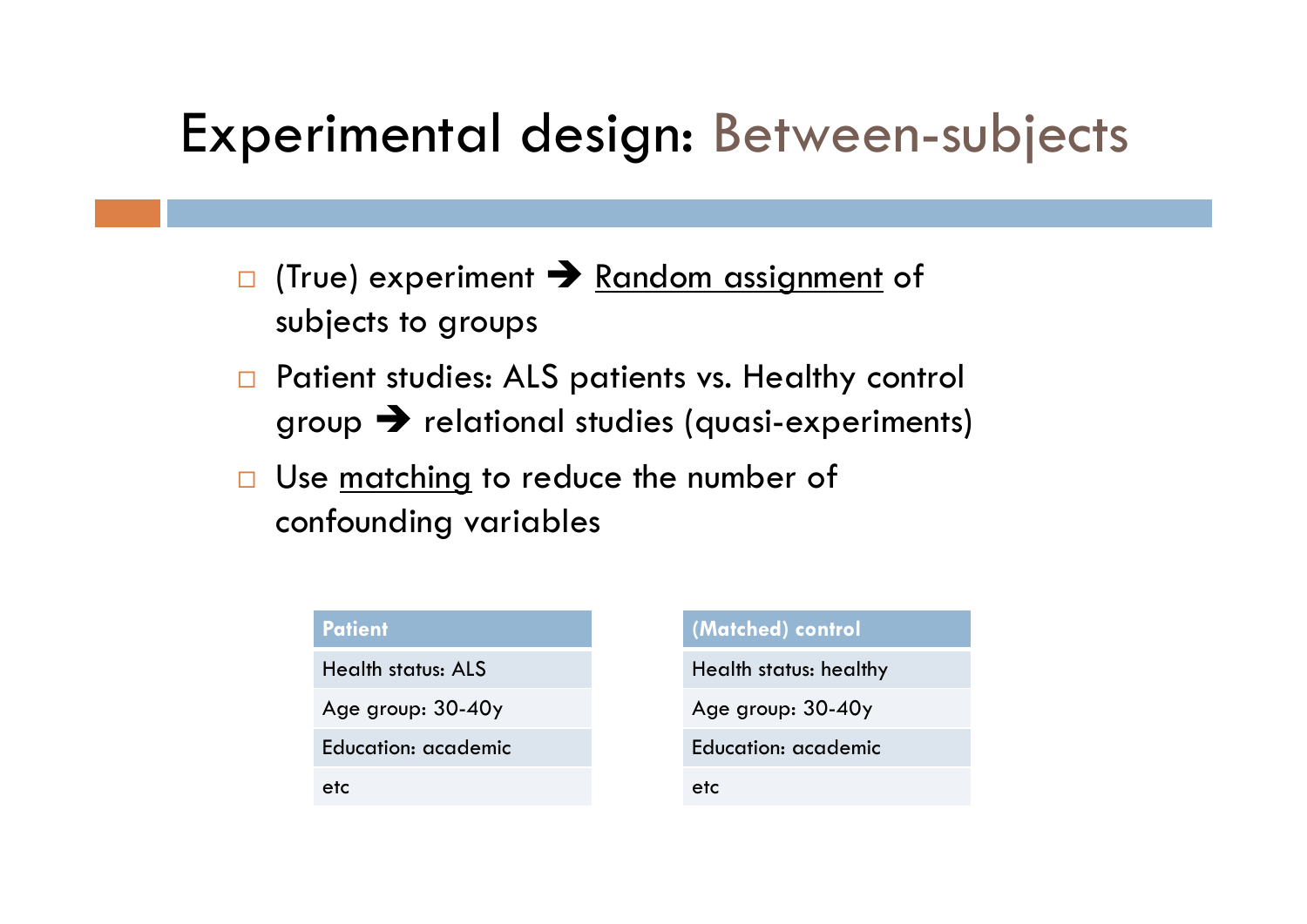### Experimental design: Between-subjects

- $\Box$ □ (True) experiment → Random assignment of subjects to groups
- $\Box$  Patient studies: ALS patients vs. Healthy control group  $\bigtriangledown$  relational studies (quasi-experiments)
- $\Box$ Use <u>matching</u> to reduce the number of confounding variables

| <b>Patient</b>            |  |
|---------------------------|--|
| <b>Health status: ALS</b> |  |
| Age group: 30-40y         |  |
| Education: academic       |  |
| etc                       |  |

### **(Matched) control**

Health status: healthy

Age group: 30-40y

Education: academic

etc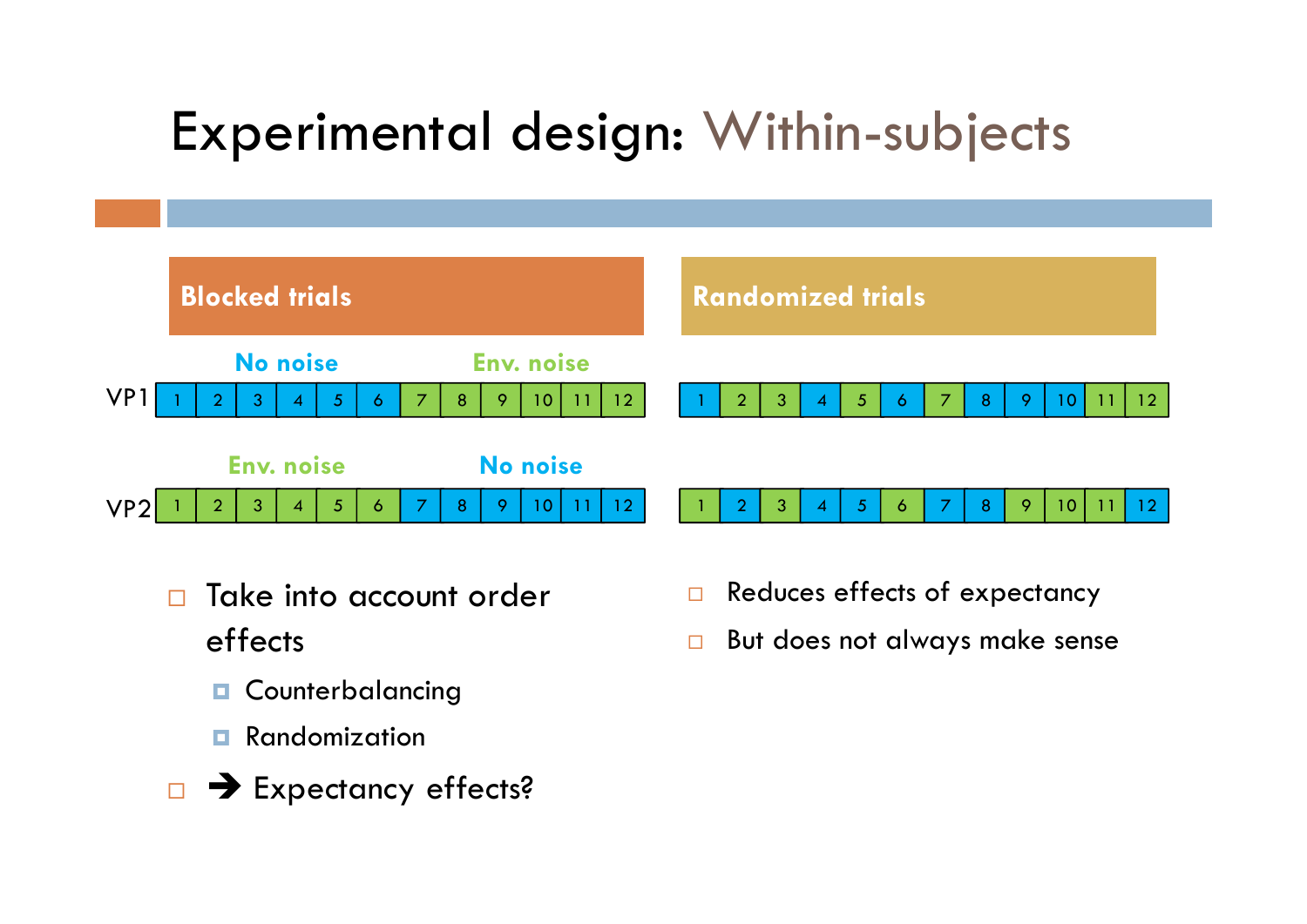## Experimental design: Within-subjects



- $\Box$  Take into account order effects
	- o Counterbalancing
	- п Randomization
- **EXpectancy effects?**
- $\Box$ Reduces effects of expectancy
- П But does not always make sense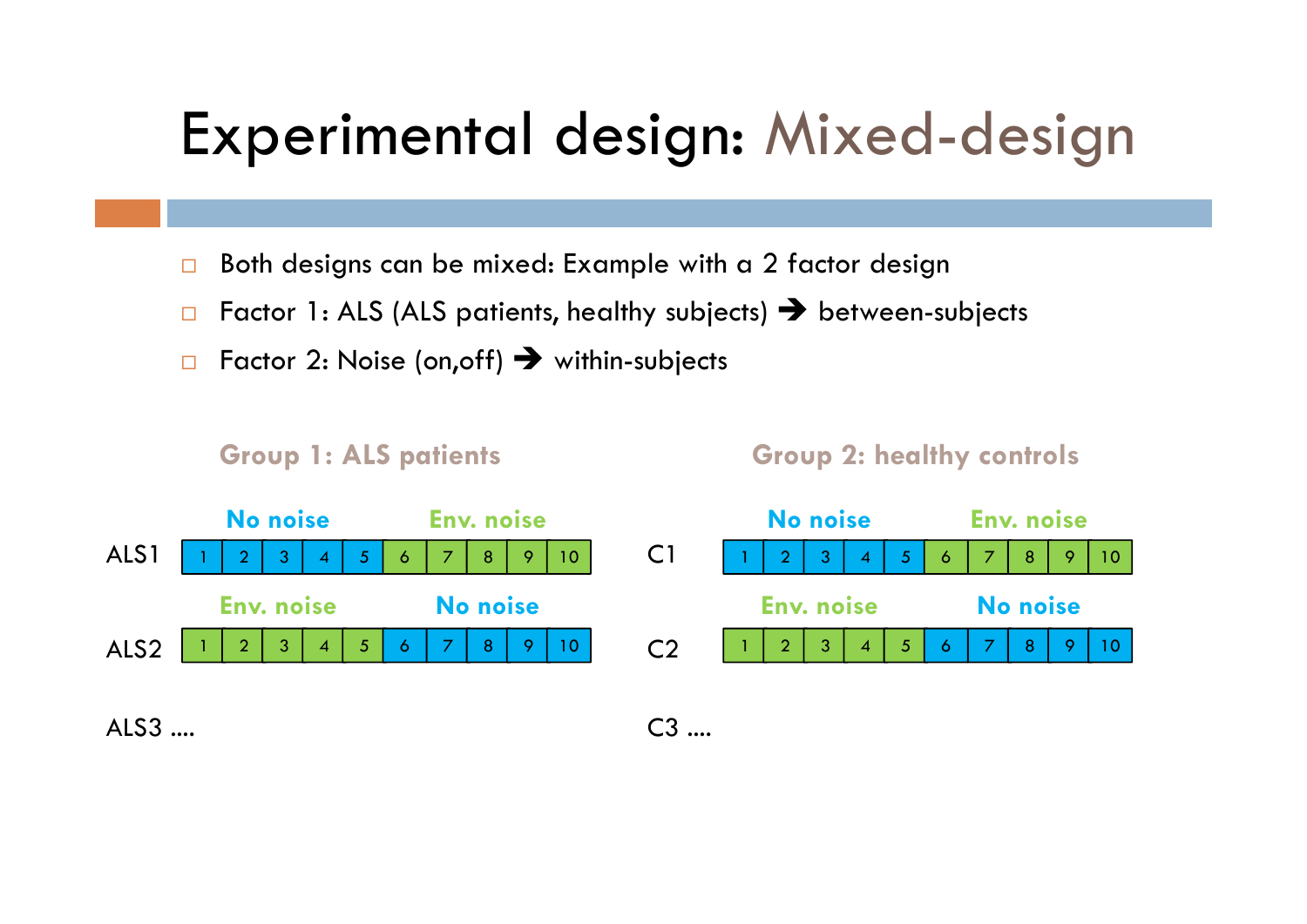## Experimental design: Mixed-design

- $\Box$ Both designs can be mixed: Example with a 2 factor design
- $\Box$  $\Box$  Factor 1: ALS (ALS patients, healthy subjects)  $\bigtriangledown$  between-subjects
- $\Box$  $\square$  Factor 2: Noise (on,off)  $\blacktriangleright$  within-subjects

**Group 1: ALS patients Group 2: healthy controls**



 $AI$   $S3$   $...$ 

C3 ....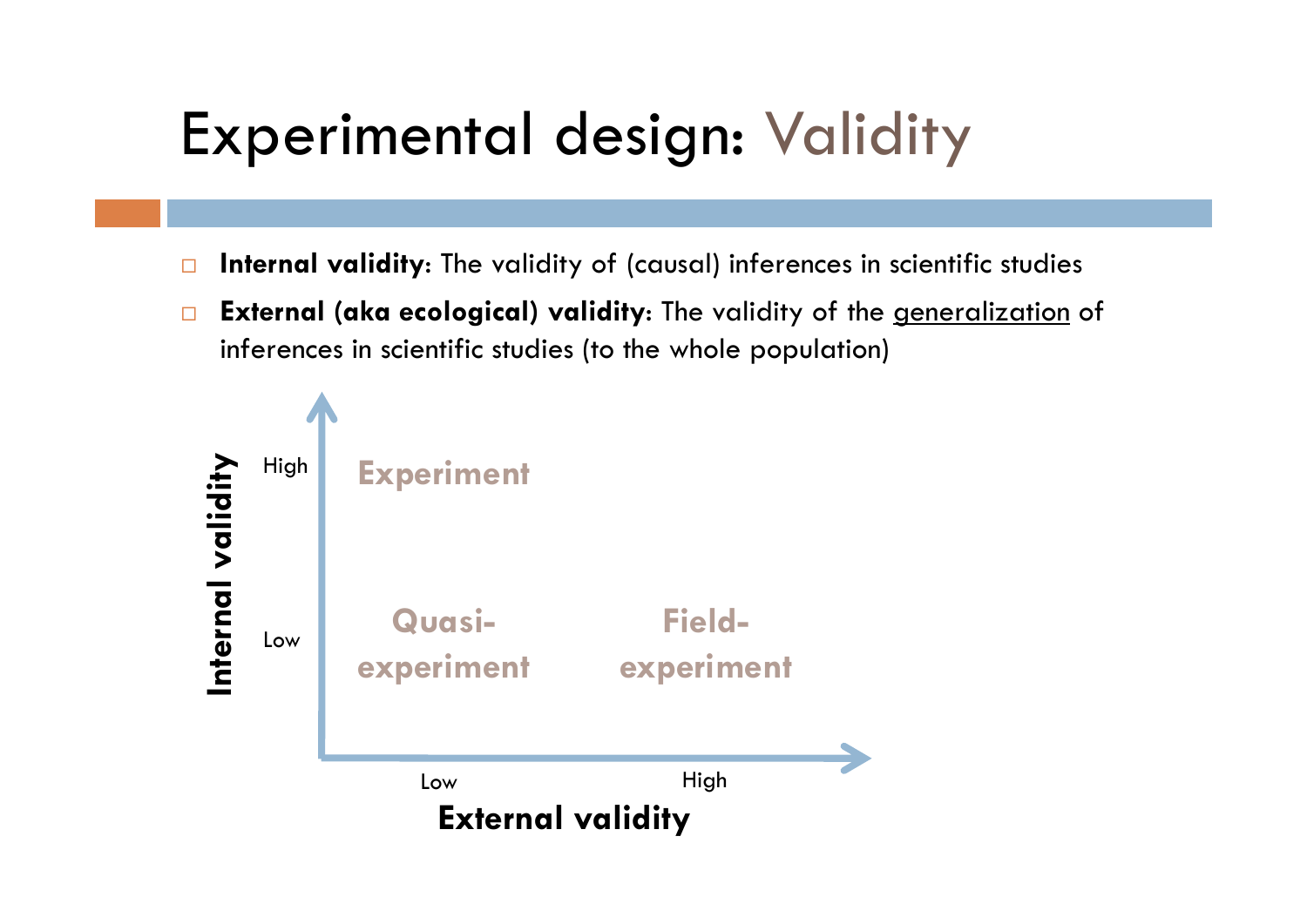# Experimental design: Validity

- $\Box$ **Internal validity**: The validity of (causal) inferences in scientific studies
- $\Box$  **External (aka ecological) validity**: The validity of the generalization of inferences in scientific studies (to the whole population)

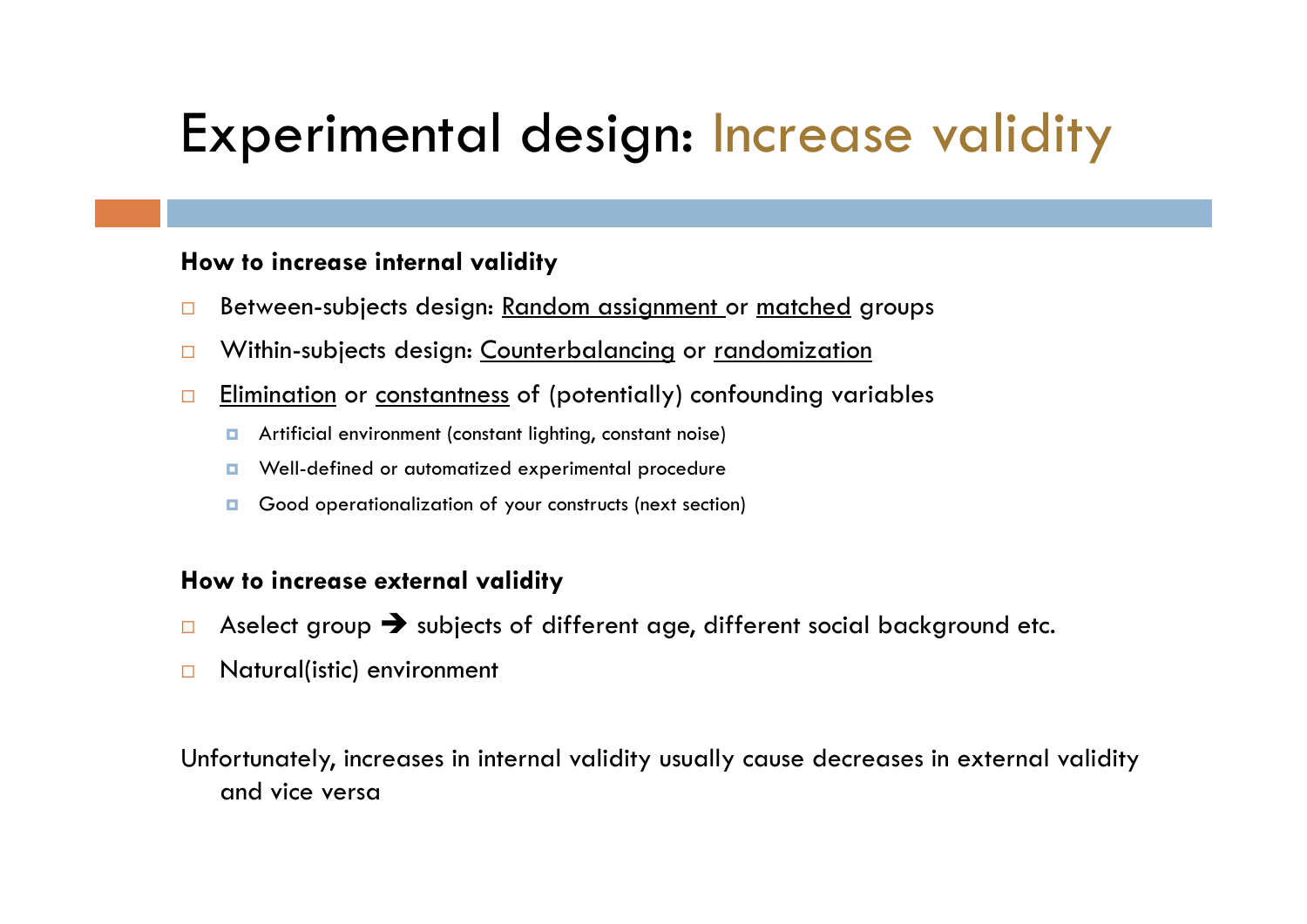## Experimental design: Increase validity

### **How to increase internal validity**

- $\Box$ Between-subjects design: Random assignment or matched groups
- $\Box$ Within-subjects design: Counterbalancing or randomization
- $\Box$  Elimination or constantness of (potentially) confounding variables
	- $\Box$ Artificial environment (constant lighting, constant noise)
	- п Well-defined or automatized experimental procedure
	- п Good operationalization of your constructs (next section)

### **How to increase external validity**

- $\Box$  $\Box$  Aselect group  $\rightarrow$  subjects of different age, different social background etc.
- $\Box$ Natural(istic) environment

Unfortunately, increases in internal validity usually cause decreases in external validity and vice versa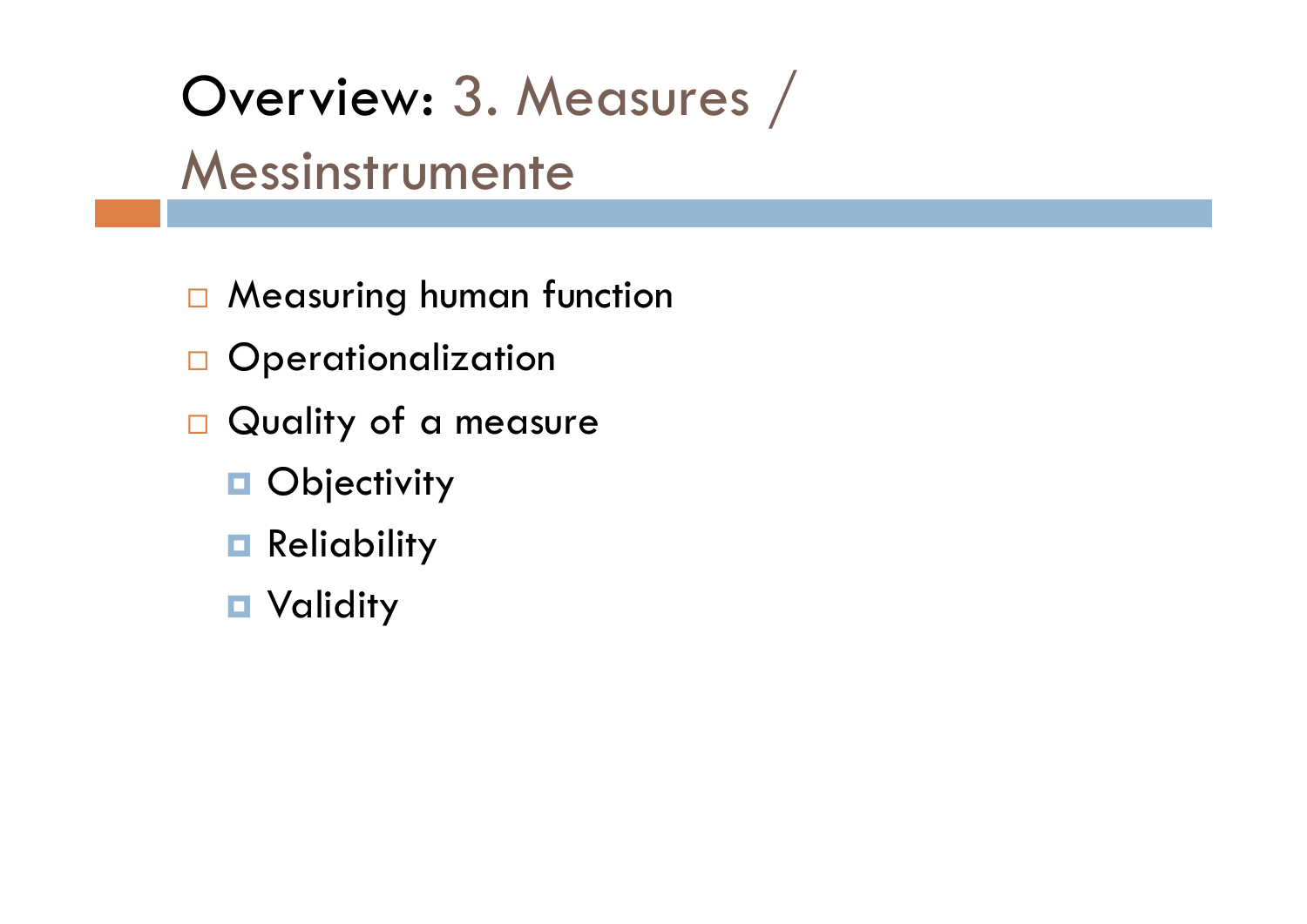# Overview: 3. Measures / Messinstrumente

- □ Measuring human function
- $\Box$  Operationalization
- $\Box$  Quality of a measure
	- **D** Objectivity
	- **Reliability**
	- Validity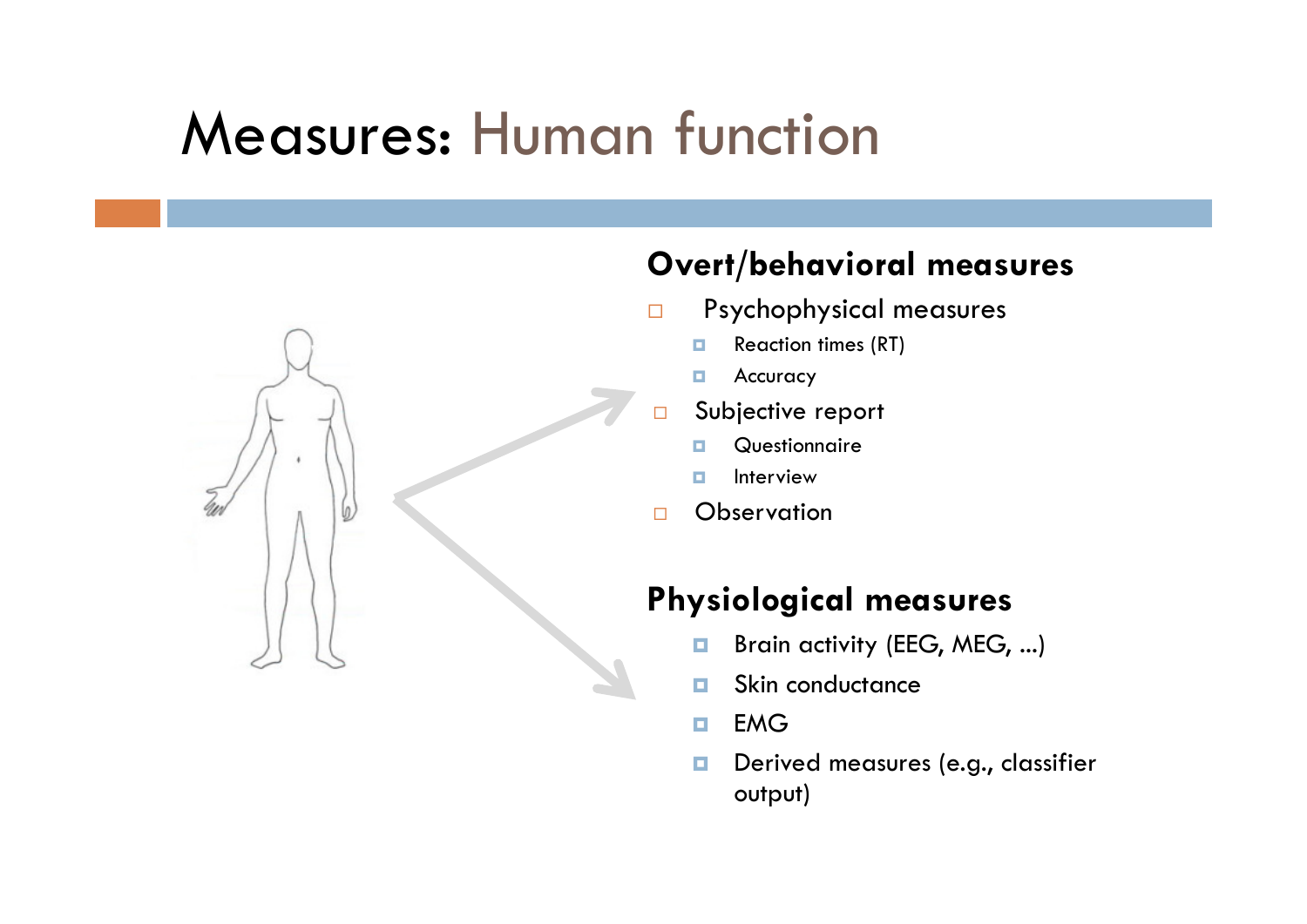## Measures: Human function

### **Overt/behavioral measures**

- $\Box$  Psychophysical measures
	- $\Box$ Reaction times (RT)
	- п Accuracy
- $\Box$  Subjective report
	- п **Questionnaire**
	- п Interview
- $\Box$ **Observation**

### **Physiological measures**

- $\Box$ Brain activity (EEG, MEG, ...)
- п Skin conductance
- $\Box$ EMG
- $\Box$  Derived measures (e.g., classifier output)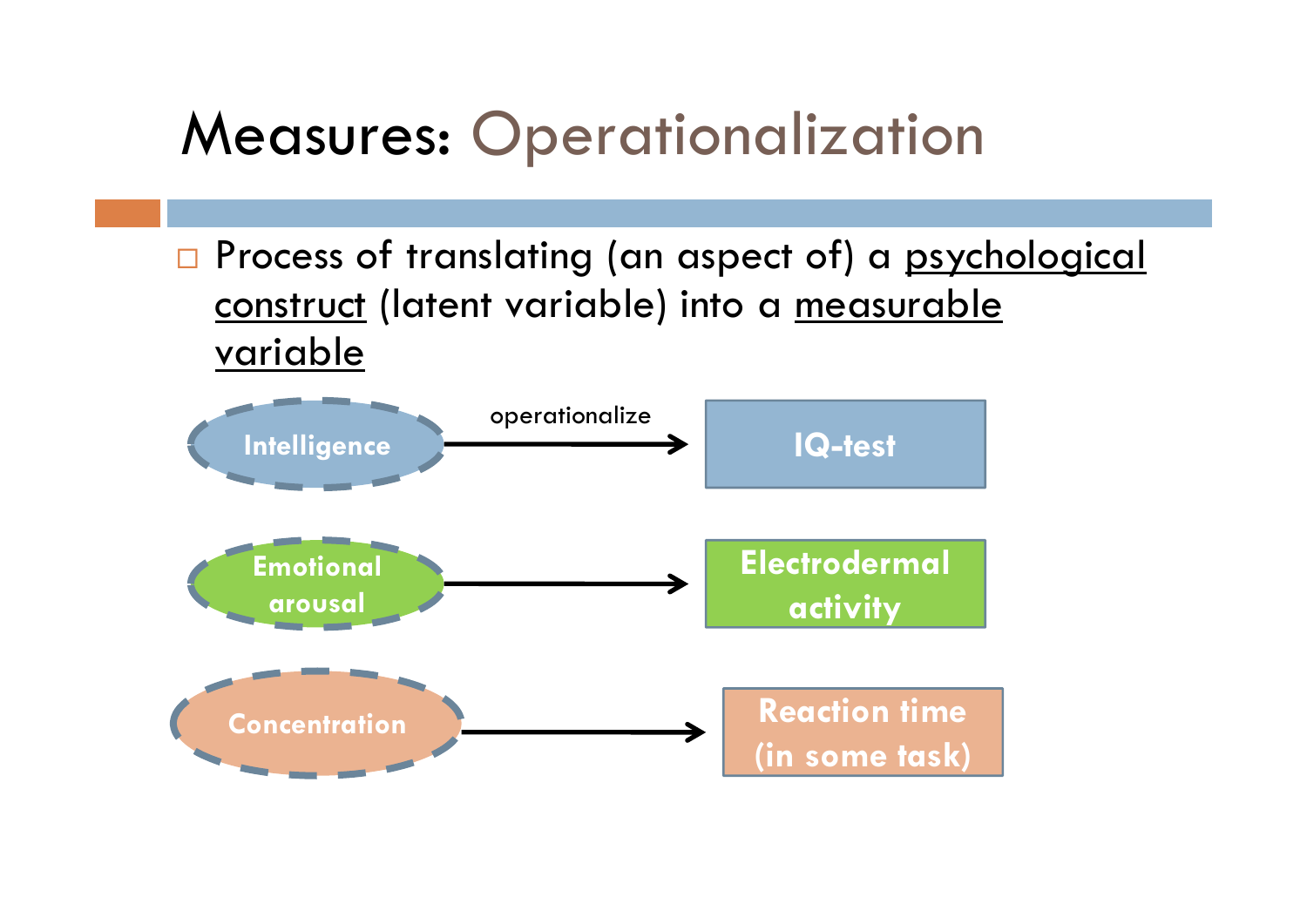# Measures: Operationalization

**n** Process of translating (an aspect of) a <u>psychological</u> construct (latent variable) into a measurable variable

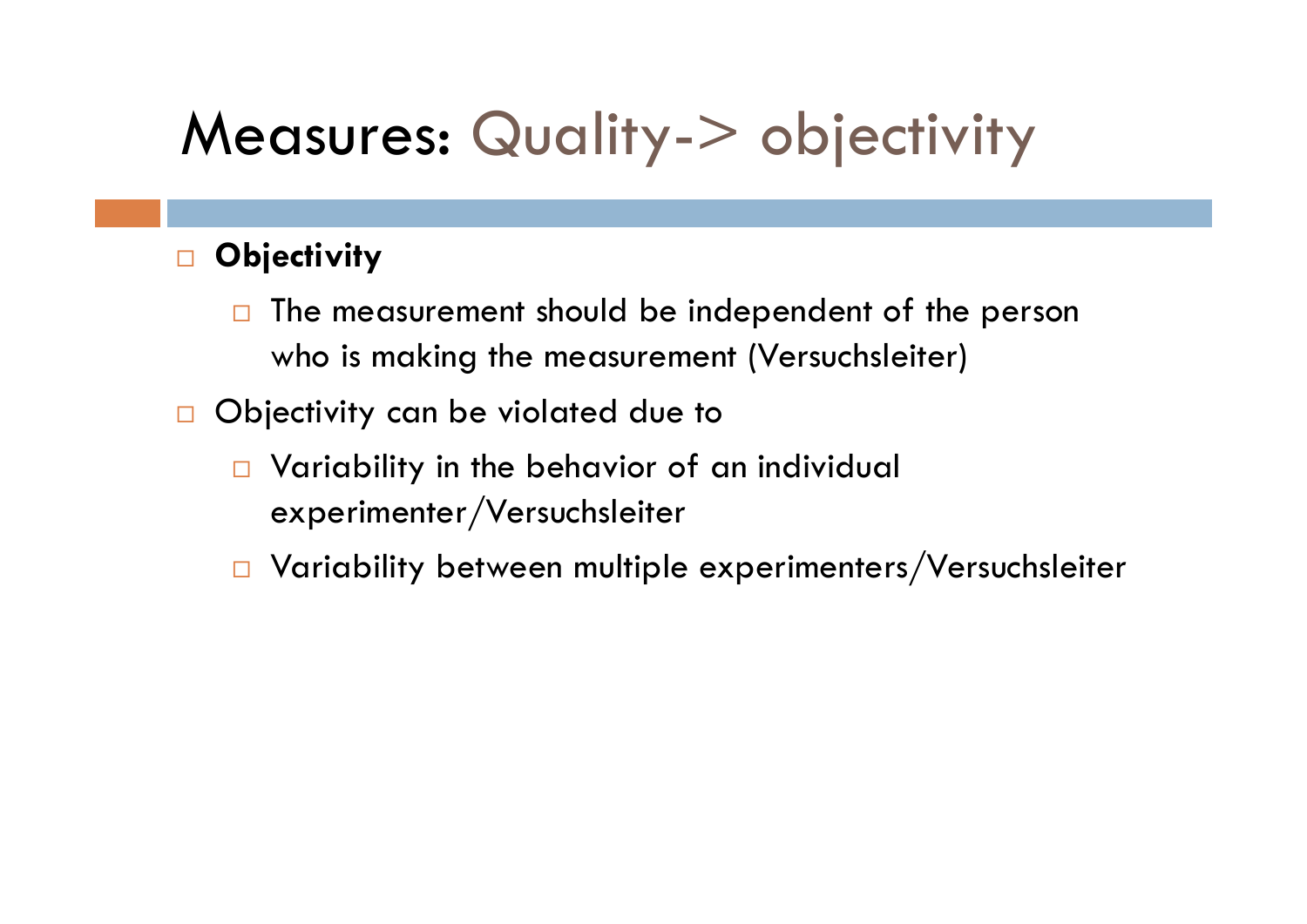# Measures: Quality-> objectivity

### $\Box$ **Objectivity**

- $\Box$  The measurement should be independent of the person who is making the measurement (Versuchsleiter)
- $\Box$  Objectivity can be violated due to
	- **Q** Variability in the behavior of an individual experimenter/Versuchsleiter
	- $\Box$  Variability between multiple experimenters/Versuchsleiter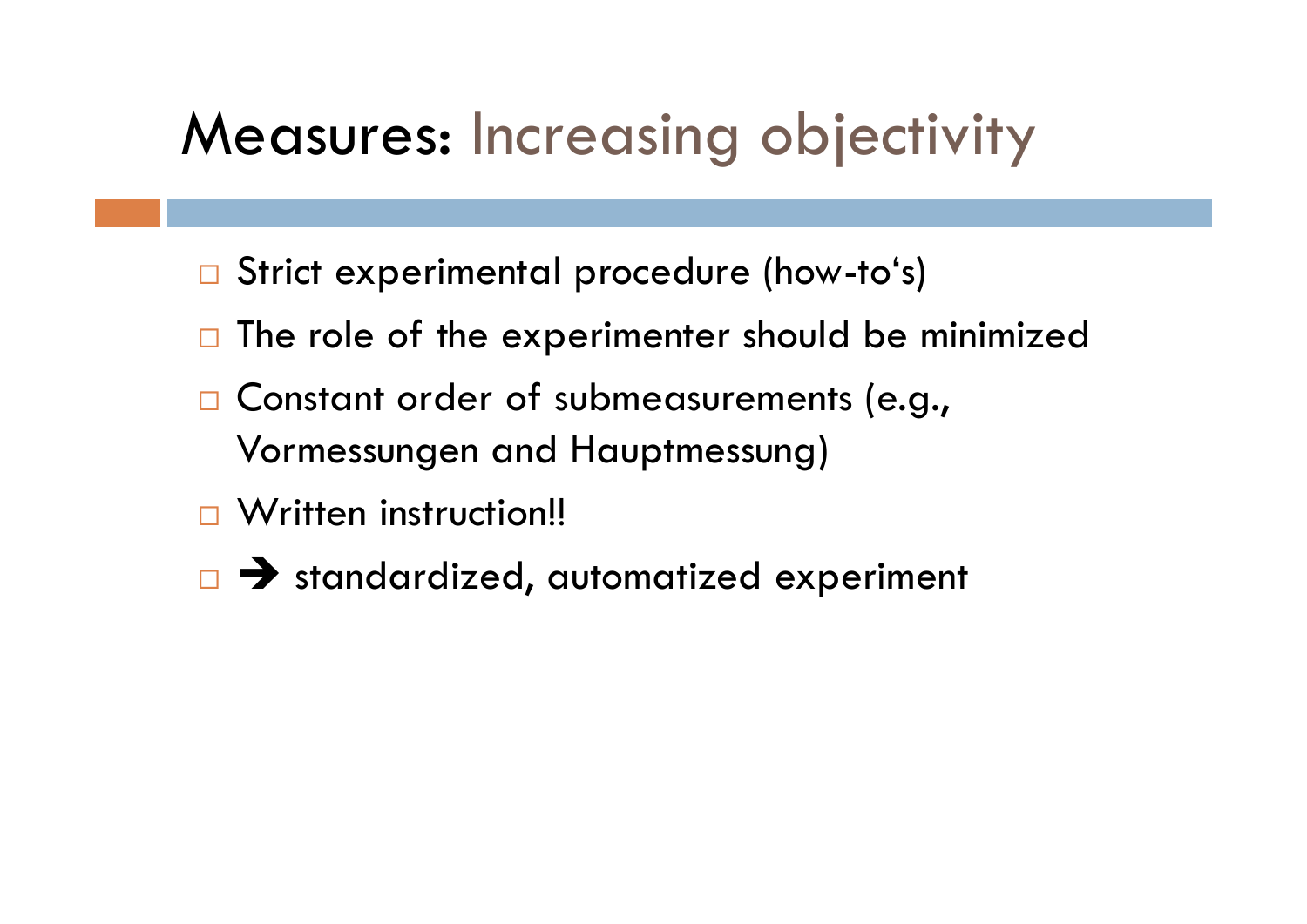## Measures: Increasing objectivity

- Strict experimental procedure (how-to's)
- $\Box$  The role of the experimenter should be minimized
- □ Constant order of submeasurements (e.g., Vormessungen and Hauptmessung)
- □ Written instruction!!
- $\Box$   $\rightarrow$  standardized, automatized experiment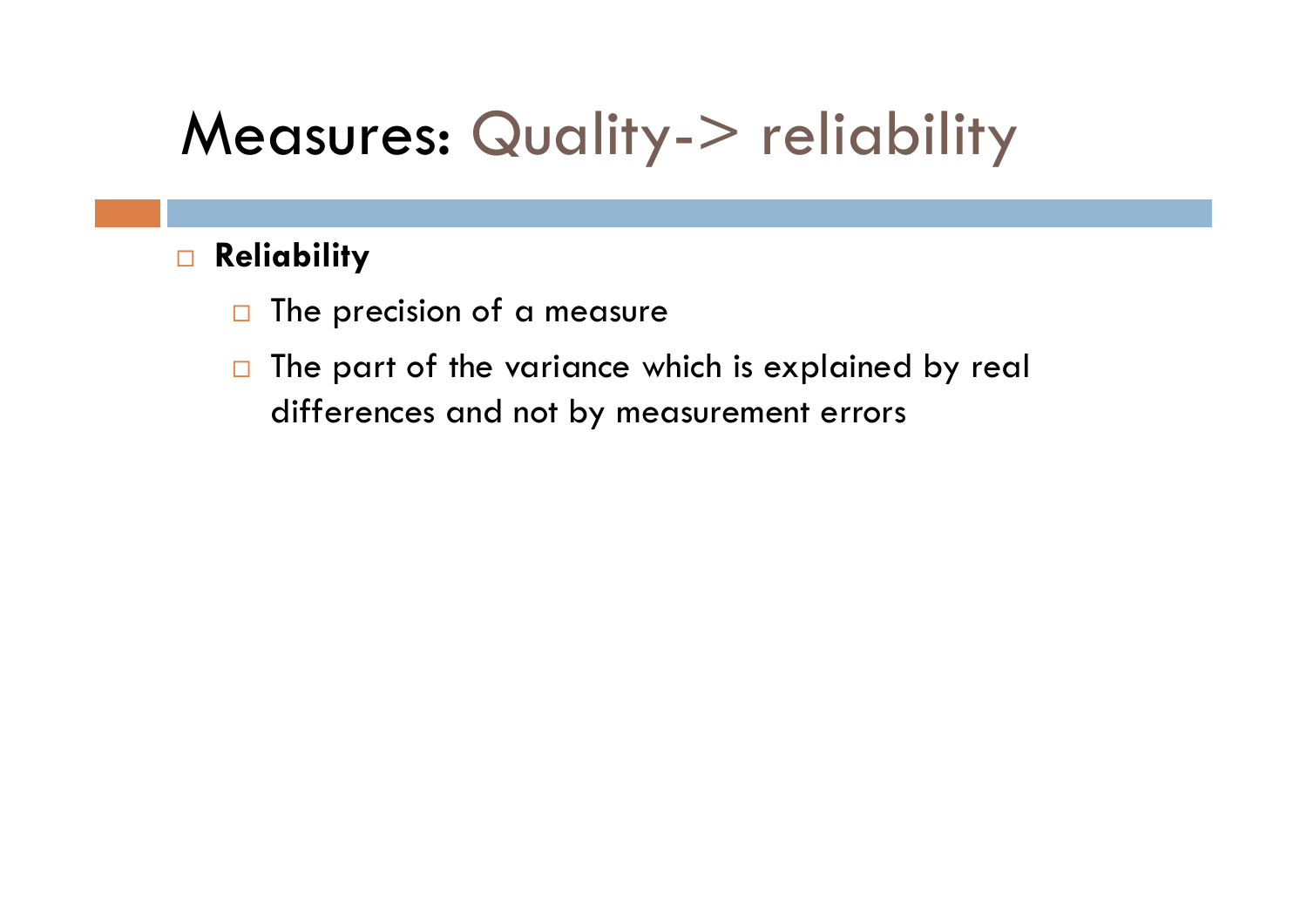# Measures: Quality-> reliability

### $\Box$ **Reliability**

- $\Box$ The precision of a measure
- $\Box$  The part of the variance which is explained by real differences and not by measurement errors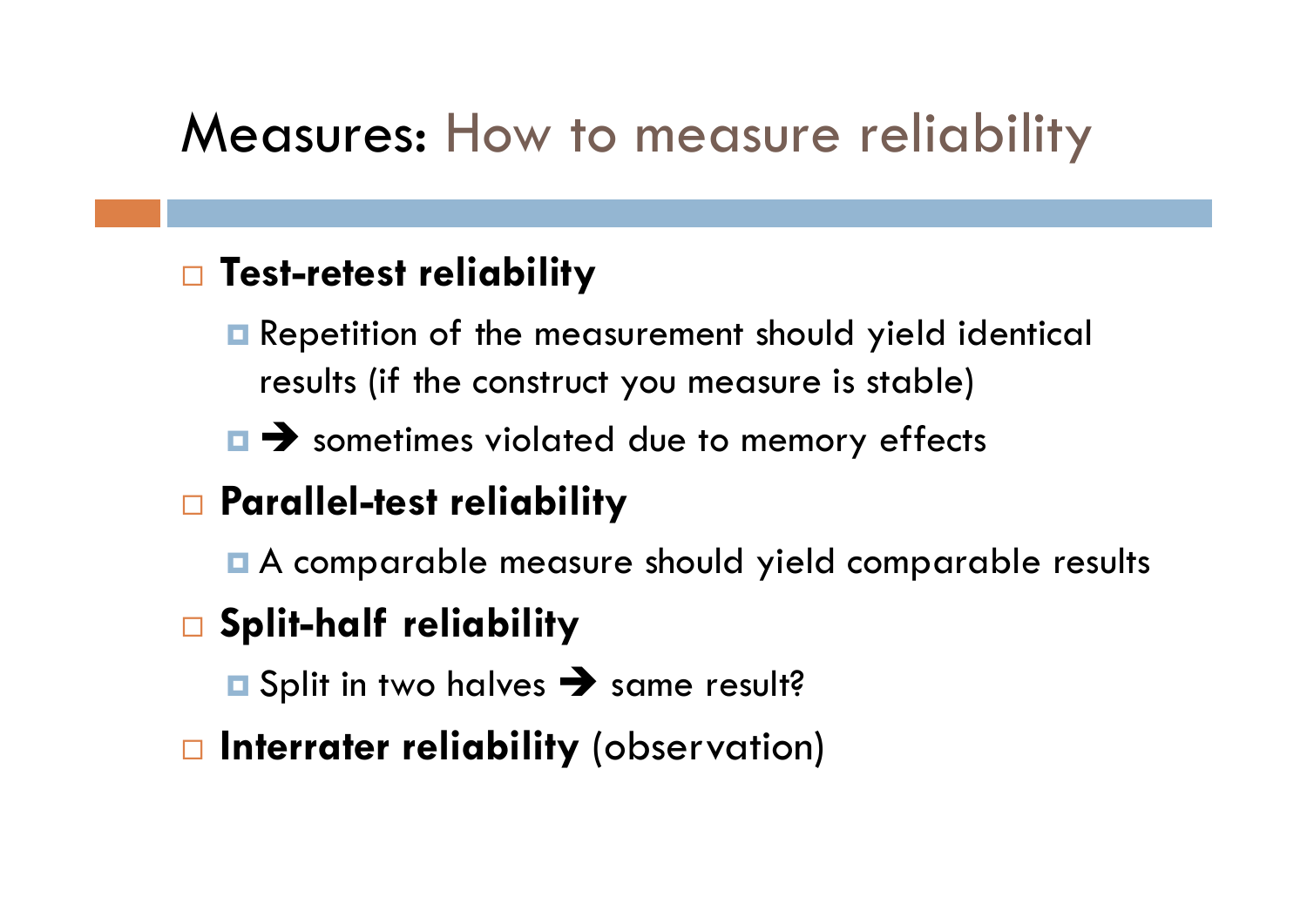### Measures: How to measure reliability

### **Test-retest reliability**

- **Repetition of the measurement should yield identical** results (if the construct you measure is stable)
- $\blacksquare$  sometimes violated due to memory effects

### **Parallel-test reliability**

A comparable measure should yield comparable results

### **Split-half reliability**

Split in two halves  $\rightarrow$  same result?

**Interrater reliability** (observation)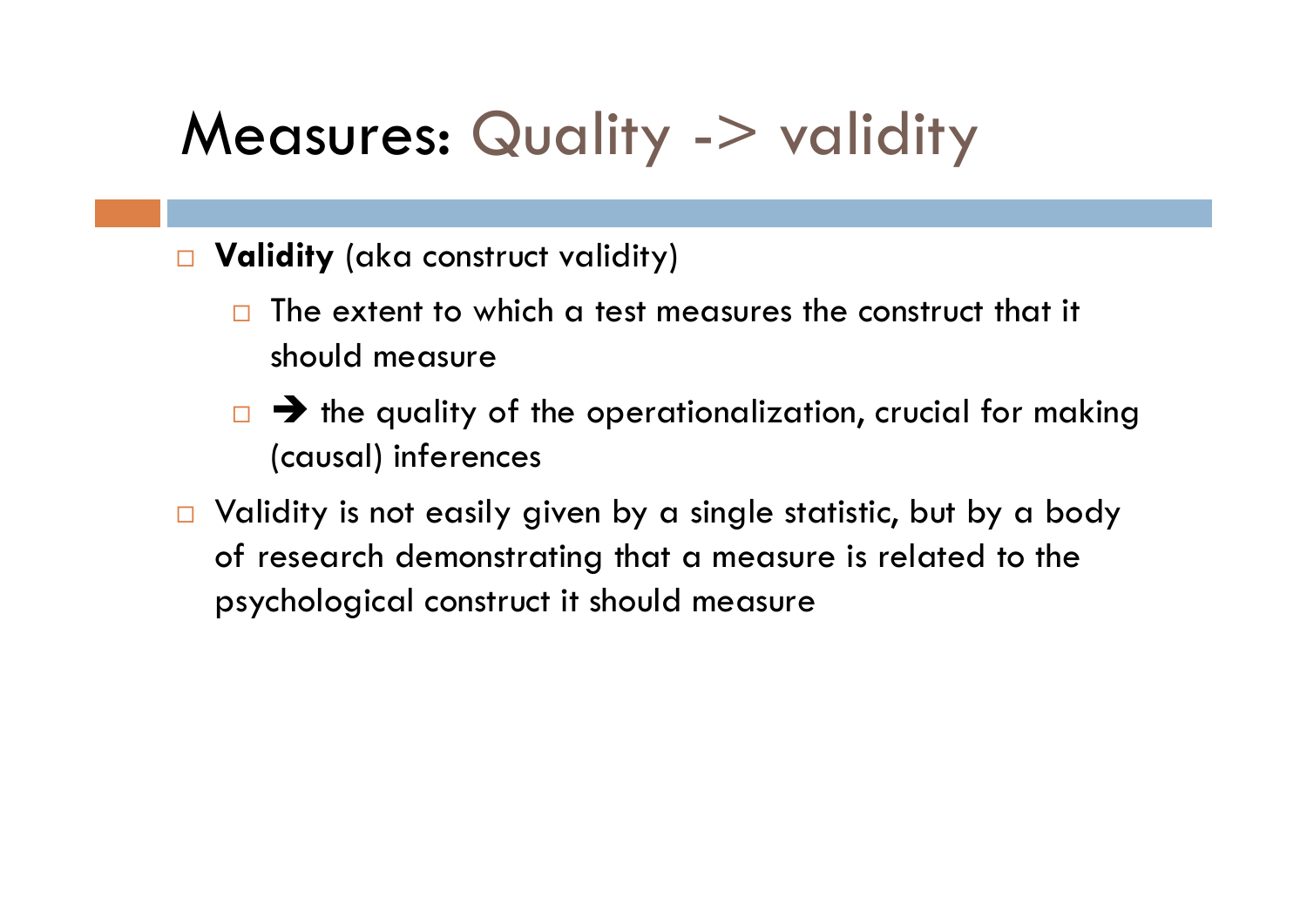## Measures: Quality -> validity

#### $\Box$ **Validity** (aka construct validity)

- $\Box$  The extent to which a test measures the construct that it should measure
- $\Box$   $\rightarrow$  the quality of the operationalization, crucial for making (causal) inferences
- $\Box$  Validity is not easily given by a single statistic, but by a body of research demonstrating that a measure is related to the psychological construct it should measure